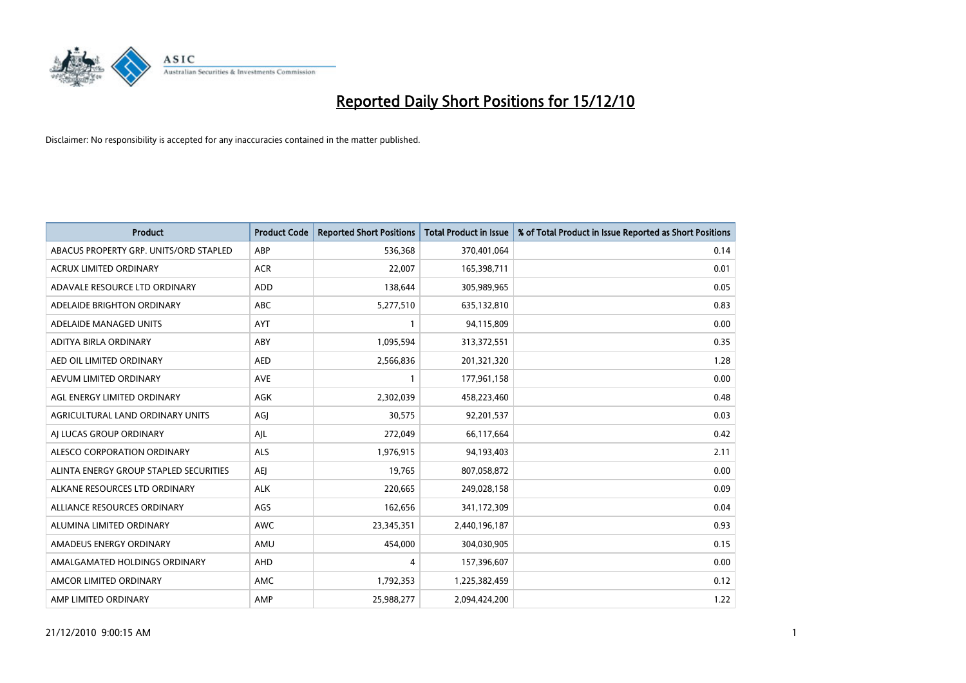

| <b>Product</b>                         | <b>Product Code</b> | <b>Reported Short Positions</b> | Total Product in Issue | % of Total Product in Issue Reported as Short Positions |
|----------------------------------------|---------------------|---------------------------------|------------------------|---------------------------------------------------------|
| ABACUS PROPERTY GRP. UNITS/ORD STAPLED | ABP                 | 536,368                         | 370,401,064            | 0.14                                                    |
| ACRUX LIMITED ORDINARY                 | <b>ACR</b>          | 22,007                          | 165,398,711            | 0.01                                                    |
| ADAVALE RESOURCE LTD ORDINARY          | <b>ADD</b>          | 138,644                         | 305,989,965            | 0.05                                                    |
| ADELAIDE BRIGHTON ORDINARY             | <b>ABC</b>          | 5,277,510                       | 635,132,810            | 0.83                                                    |
| ADELAIDE MANAGED UNITS                 | <b>AYT</b>          |                                 | 94,115,809             | 0.00                                                    |
| ADITYA BIRLA ORDINARY                  | ABY                 | 1,095,594                       | 313,372,551            | 0.35                                                    |
| AED OIL LIMITED ORDINARY               | <b>AED</b>          | 2,566,836                       | 201,321,320            | 1.28                                                    |
| AEVUM LIMITED ORDINARY                 | <b>AVE</b>          |                                 | 177,961,158            | 0.00                                                    |
| AGL ENERGY LIMITED ORDINARY            | AGK                 | 2,302,039                       | 458,223,460            | 0.48                                                    |
| AGRICULTURAL LAND ORDINARY UNITS       | AGJ                 | 30,575                          | 92,201,537             | 0.03                                                    |
| AJ LUCAS GROUP ORDINARY                | AJL                 | 272,049                         | 66,117,664             | 0.42                                                    |
| ALESCO CORPORATION ORDINARY            | <b>ALS</b>          | 1,976,915                       | 94,193,403             | 2.11                                                    |
| ALINTA ENERGY GROUP STAPLED SECURITIES | AEJ                 | 19,765                          | 807,058,872            | 0.00                                                    |
| ALKANE RESOURCES LTD ORDINARY          | <b>ALK</b>          | 220,665                         | 249,028,158            | 0.09                                                    |
| ALLIANCE RESOURCES ORDINARY            | AGS                 | 162,656                         | 341,172,309            | 0.04                                                    |
| ALUMINA LIMITED ORDINARY               | <b>AWC</b>          | 23,345,351                      | 2,440,196,187          | 0.93                                                    |
| AMADEUS ENERGY ORDINARY                | AMU                 | 454,000                         | 304,030,905            | 0.15                                                    |
| AMALGAMATED HOLDINGS ORDINARY          | <b>AHD</b>          | 4                               | 157,396,607            | 0.00                                                    |
| AMCOR LIMITED ORDINARY                 | <b>AMC</b>          | 1,792,353                       | 1,225,382,459          | 0.12                                                    |
| AMP LIMITED ORDINARY                   | AMP                 | 25,988,277                      | 2.094.424.200          | 1.22                                                    |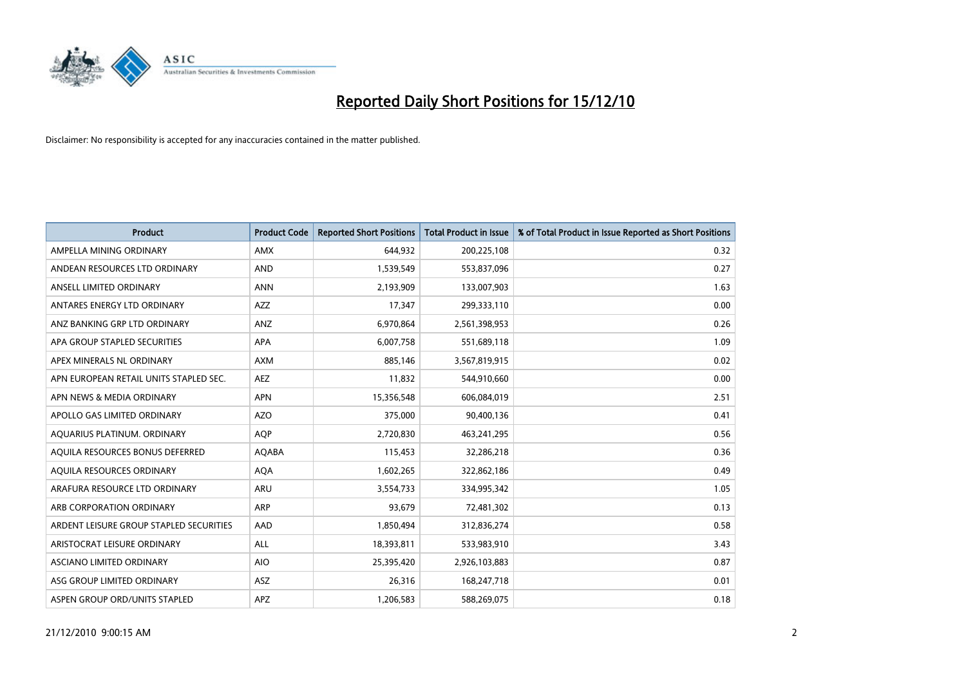

| <b>Product</b>                          | <b>Product Code</b> | <b>Reported Short Positions</b> | Total Product in Issue | % of Total Product in Issue Reported as Short Positions |
|-----------------------------------------|---------------------|---------------------------------|------------------------|---------------------------------------------------------|
| AMPELLA MINING ORDINARY                 | <b>AMX</b>          | 644,932                         | 200,225,108            | 0.32                                                    |
| ANDEAN RESOURCES LTD ORDINARY           | <b>AND</b>          | 1,539,549                       | 553,837,096            | 0.27                                                    |
| ANSELL LIMITED ORDINARY                 | <b>ANN</b>          | 2,193,909                       | 133,007,903            | 1.63                                                    |
| ANTARES ENERGY LTD ORDINARY             | <b>AZZ</b>          | 17,347                          | 299,333,110            | 0.00                                                    |
| ANZ BANKING GRP LTD ORDINARY            | ANZ                 | 6,970,864                       | 2,561,398,953          | 0.26                                                    |
| APA GROUP STAPLED SECURITIES            | <b>APA</b>          | 6,007,758                       | 551,689,118            | 1.09                                                    |
| APEX MINERALS NL ORDINARY               | <b>AXM</b>          | 885.146                         | 3,567,819,915          | 0.02                                                    |
| APN EUROPEAN RETAIL UNITS STAPLED SEC.  | AEZ                 | 11,832                          | 544,910,660            | 0.00                                                    |
| APN NEWS & MEDIA ORDINARY               | <b>APN</b>          | 15,356,548                      | 606,084,019            | 2.51                                                    |
| APOLLO GAS LIMITED ORDINARY             | <b>AZO</b>          | 375,000                         | 90,400,136             | 0.41                                                    |
| AQUARIUS PLATINUM. ORDINARY             | AQP                 | 2,720,830                       | 463,241,295            | 0.56                                                    |
| AQUILA RESOURCES BONUS DEFERRED         | <b>AQABA</b>        | 115,453                         | 32,286,218             | 0.36                                                    |
| AQUILA RESOURCES ORDINARY               | <b>AQA</b>          | 1,602,265                       | 322,862,186            | 0.49                                                    |
| ARAFURA RESOURCE LTD ORDINARY           | <b>ARU</b>          | 3,554,733                       | 334,995,342            | 1.05                                                    |
| ARB CORPORATION ORDINARY                | ARP                 | 93,679                          | 72,481,302             | 0.13                                                    |
| ARDENT LEISURE GROUP STAPLED SECURITIES | AAD                 | 1,850,494                       | 312,836,274            | 0.58                                                    |
| ARISTOCRAT LEISURE ORDINARY             | <b>ALL</b>          | 18,393,811                      | 533,983,910            | 3.43                                                    |
| ASCIANO LIMITED ORDINARY                | <b>AIO</b>          | 25,395,420                      | 2,926,103,883          | 0.87                                                    |
| ASG GROUP LIMITED ORDINARY              | <b>ASZ</b>          | 26,316                          | 168,247,718            | 0.01                                                    |
| ASPEN GROUP ORD/UNITS STAPLED           | <b>APZ</b>          | 1,206,583                       | 588,269,075            | 0.18                                                    |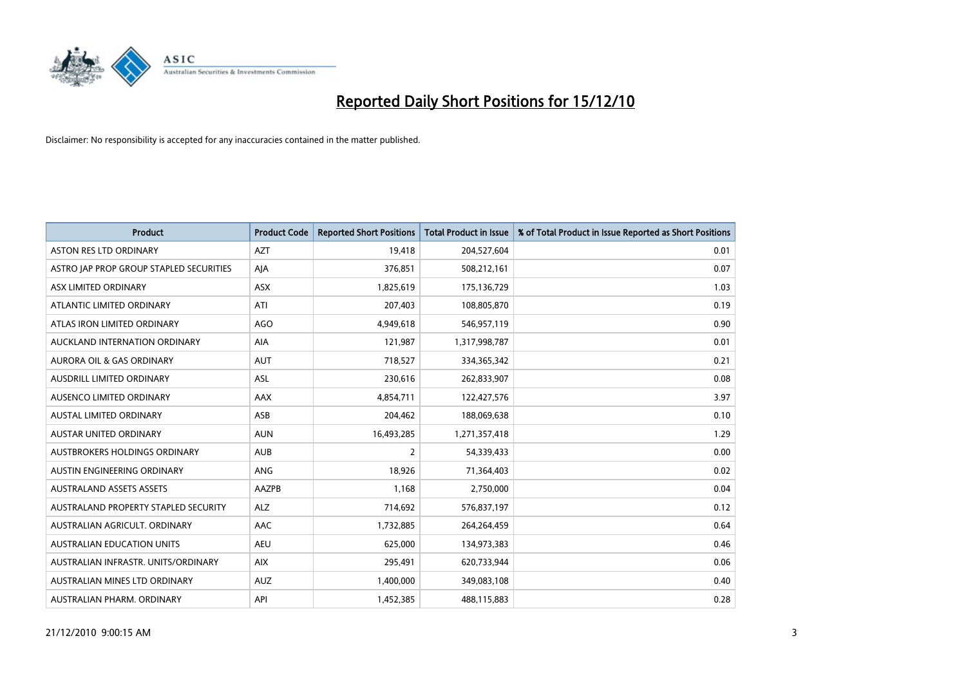

| <b>Product</b>                          | <b>Product Code</b> | <b>Reported Short Positions</b> | Total Product in Issue | % of Total Product in Issue Reported as Short Positions |
|-----------------------------------------|---------------------|---------------------------------|------------------------|---------------------------------------------------------|
| <b>ASTON RES LTD ORDINARY</b>           | <b>AZT</b>          | 19,418                          | 204,527,604            | 0.01                                                    |
| ASTRO JAP PROP GROUP STAPLED SECURITIES | AJA                 | 376,851                         | 508,212,161            | 0.07                                                    |
| ASX LIMITED ORDINARY                    | <b>ASX</b>          | 1,825,619                       | 175,136,729            | 1.03                                                    |
| ATLANTIC LIMITED ORDINARY               | ATI                 | 207,403                         | 108,805,870            | 0.19                                                    |
| ATLAS IRON LIMITED ORDINARY             | <b>AGO</b>          | 4,949,618                       | 546,957,119            | 0.90                                                    |
| AUCKLAND INTERNATION ORDINARY           | AIA                 | 121,987                         | 1,317,998,787          | 0.01                                                    |
| AURORA OIL & GAS ORDINARY               | <b>AUT</b>          | 718,527                         | 334, 365, 342          | 0.21                                                    |
| AUSDRILL LIMITED ORDINARY               | ASL                 | 230,616                         | 262,833,907            | 0.08                                                    |
| AUSENCO LIMITED ORDINARY                | AAX                 | 4,854,711                       | 122,427,576            | 3.97                                                    |
| <b>AUSTAL LIMITED ORDINARY</b>          | ASB                 | 204,462                         | 188,069,638            | 0.10                                                    |
| AUSTAR UNITED ORDINARY                  | <b>AUN</b>          | 16,493,285                      | 1,271,357,418          | 1.29                                                    |
| <b>AUSTBROKERS HOLDINGS ORDINARY</b>    | <b>AUB</b>          | $\overline{2}$                  | 54,339,433             | 0.00                                                    |
| AUSTIN ENGINEERING ORDINARY             | <b>ANG</b>          | 18,926                          | 71,364,403             | 0.02                                                    |
| <b>AUSTRALAND ASSETS ASSETS</b>         | AAZPB               | 1,168                           | 2,750,000              | 0.04                                                    |
| AUSTRALAND PROPERTY STAPLED SECURITY    | <b>ALZ</b>          | 714,692                         | 576,837,197            | 0.12                                                    |
| AUSTRALIAN AGRICULT, ORDINARY           | AAC                 | 1,732,885                       | 264,264,459            | 0.64                                                    |
| <b>AUSTRALIAN EDUCATION UNITS</b>       | <b>AEU</b>          | 625,000                         | 134,973,383            | 0.46                                                    |
| AUSTRALIAN INFRASTR. UNITS/ORDINARY     | <b>AIX</b>          | 295,491                         | 620,733,944            | 0.06                                                    |
| AUSTRALIAN MINES LTD ORDINARY           | <b>AUZ</b>          | 1,400,000                       | 349,083,108            | 0.40                                                    |
| AUSTRALIAN PHARM. ORDINARY              | API                 | 1,452,385                       | 488,115,883            | 0.28                                                    |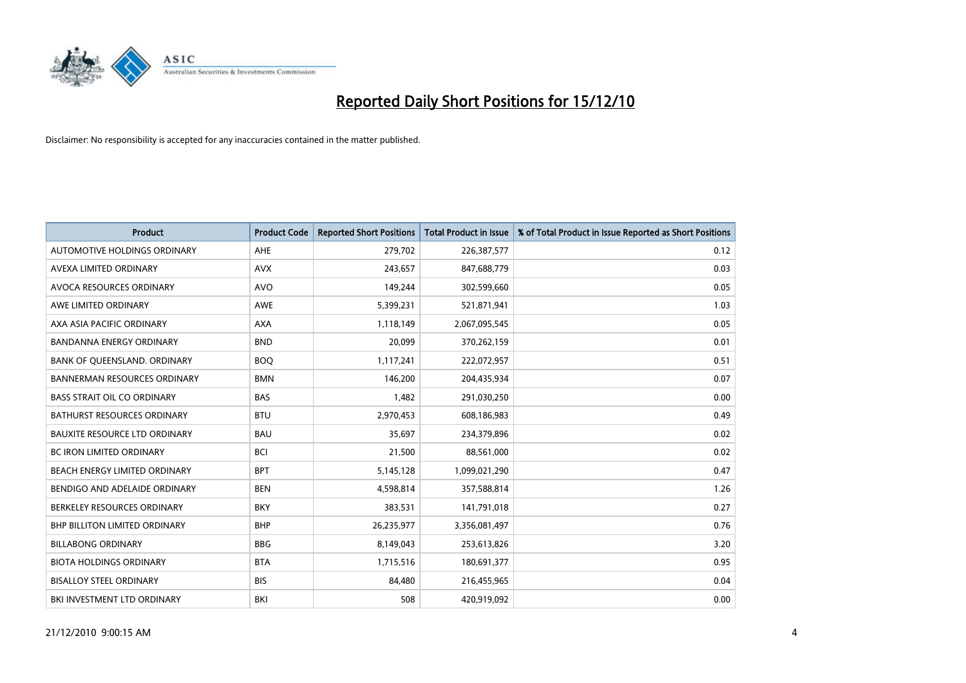

| <b>Product</b>                       | <b>Product Code</b> | <b>Reported Short Positions</b> | Total Product in Issue | % of Total Product in Issue Reported as Short Positions |
|--------------------------------------|---------------------|---------------------------------|------------------------|---------------------------------------------------------|
| AUTOMOTIVE HOLDINGS ORDINARY         | <b>AHE</b>          | 279,702                         | 226,387,577            | 0.12                                                    |
| AVEXA LIMITED ORDINARY               | <b>AVX</b>          | 243,657                         | 847,688,779            | 0.03                                                    |
| AVOCA RESOURCES ORDINARY             | <b>AVO</b>          | 149,244                         | 302,599,660            | 0.05                                                    |
| AWE LIMITED ORDINARY                 | <b>AWE</b>          | 5,399,231                       | 521,871,941            | 1.03                                                    |
| AXA ASIA PACIFIC ORDINARY            | <b>AXA</b>          | 1.118.149                       | 2,067,095,545          | 0.05                                                    |
| <b>BANDANNA ENERGY ORDINARY</b>      | <b>BND</b>          | 20,099                          | 370,262,159            | 0.01                                                    |
| BANK OF QUEENSLAND. ORDINARY         | <b>BOO</b>          | 1,117,241                       | 222,072,957            | 0.51                                                    |
| <b>BANNERMAN RESOURCES ORDINARY</b>  | <b>BMN</b>          | 146,200                         | 204,435,934            | 0.07                                                    |
| <b>BASS STRAIT OIL CO ORDINARY</b>   | <b>BAS</b>          | 1,482                           | 291,030,250            | 0.00                                                    |
| <b>BATHURST RESOURCES ORDINARY</b>   | <b>BTU</b>          | 2,970,453                       | 608,186,983            | 0.49                                                    |
| <b>BAUXITE RESOURCE LTD ORDINARY</b> | <b>BAU</b>          | 35,697                          | 234,379,896            | 0.02                                                    |
| <b>BC IRON LIMITED ORDINARY</b>      | <b>BCI</b>          | 21,500                          | 88,561,000             | 0.02                                                    |
| BEACH ENERGY LIMITED ORDINARY        | <b>BPT</b>          | 5,145,128                       | 1,099,021,290          | 0.47                                                    |
| BENDIGO AND ADELAIDE ORDINARY        | <b>BEN</b>          | 4,598,814                       | 357,588,814            | 1.26                                                    |
| BERKELEY RESOURCES ORDINARY          | <b>BKY</b>          | 383,531                         | 141,791,018            | 0.27                                                    |
| <b>BHP BILLITON LIMITED ORDINARY</b> | <b>BHP</b>          | 26,235,977                      | 3,356,081,497          | 0.76                                                    |
| <b>BILLABONG ORDINARY</b>            | <b>BBG</b>          | 8,149,043                       | 253,613,826            | 3.20                                                    |
| <b>BIOTA HOLDINGS ORDINARY</b>       | <b>BTA</b>          | 1,715,516                       | 180,691,377            | 0.95                                                    |
| <b>BISALLOY STEEL ORDINARY</b>       | <b>BIS</b>          | 84,480                          | 216,455,965            | 0.04                                                    |
| BKI INVESTMENT LTD ORDINARY          | BKI                 | 508                             | 420,919,092            | 0.00                                                    |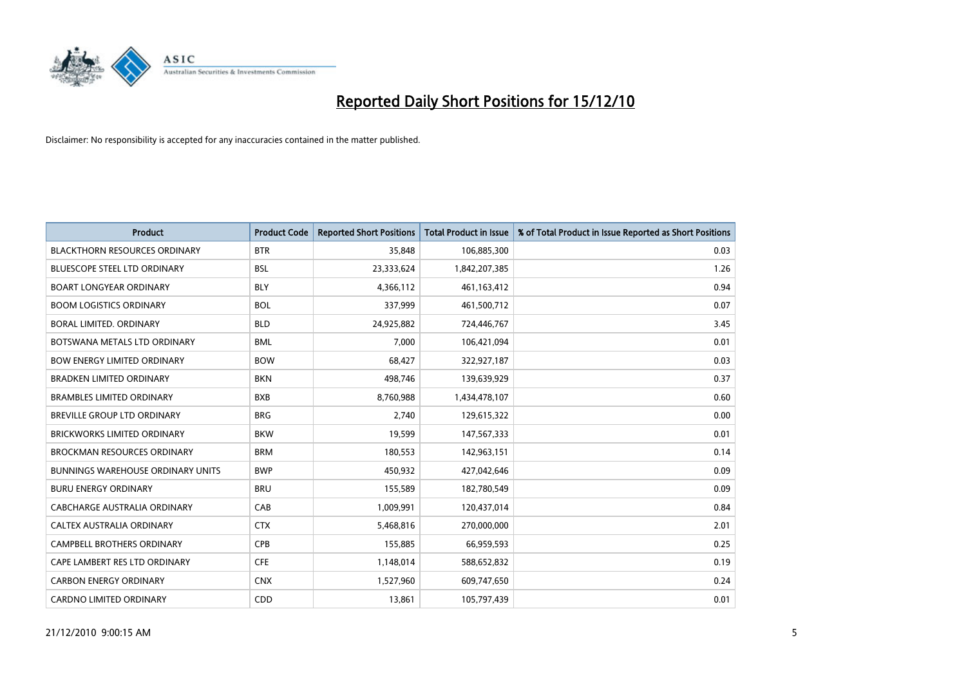

| <b>Product</b>                           | <b>Product Code</b> | <b>Reported Short Positions</b> | <b>Total Product in Issue</b> | % of Total Product in Issue Reported as Short Positions |
|------------------------------------------|---------------------|---------------------------------|-------------------------------|---------------------------------------------------------|
| <b>BLACKTHORN RESOURCES ORDINARY</b>     | <b>BTR</b>          | 35,848                          | 106,885,300                   | 0.03                                                    |
| <b>BLUESCOPE STEEL LTD ORDINARY</b>      | <b>BSL</b>          | 23,333,624                      | 1,842,207,385                 | 1.26                                                    |
| <b>BOART LONGYEAR ORDINARY</b>           | <b>BLY</b>          | 4,366,112                       | 461,163,412                   | 0.94                                                    |
| <b>BOOM LOGISTICS ORDINARY</b>           | <b>BOL</b>          | 337,999                         | 461,500,712                   | 0.07                                                    |
| <b>BORAL LIMITED, ORDINARY</b>           | <b>BLD</b>          | 24,925,882                      | 724,446,767                   | 3.45                                                    |
| BOTSWANA METALS LTD ORDINARY             | <b>BML</b>          | 7,000                           | 106,421,094                   | 0.01                                                    |
| <b>BOW ENERGY LIMITED ORDINARY</b>       | <b>BOW</b>          | 68.427                          | 322,927,187                   | 0.03                                                    |
| <b>BRADKEN LIMITED ORDINARY</b>          | <b>BKN</b>          | 498,746                         | 139,639,929                   | 0.37                                                    |
| <b>BRAMBLES LIMITED ORDINARY</b>         | <b>BXB</b>          | 8,760,988                       | 1,434,478,107                 | 0.60                                                    |
| <b>BREVILLE GROUP LTD ORDINARY</b>       | <b>BRG</b>          | 2,740                           | 129,615,322                   | 0.00                                                    |
| <b>BRICKWORKS LIMITED ORDINARY</b>       | <b>BKW</b>          | 19,599                          | 147,567,333                   | 0.01                                                    |
| <b>BROCKMAN RESOURCES ORDINARY</b>       | <b>BRM</b>          | 180,553                         | 142,963,151                   | 0.14                                                    |
| <b>BUNNINGS WAREHOUSE ORDINARY UNITS</b> | <b>BWP</b>          | 450,932                         | 427,042,646                   | 0.09                                                    |
| <b>BURU ENERGY ORDINARY</b>              | <b>BRU</b>          | 155,589                         | 182,780,549                   | 0.09                                                    |
| CABCHARGE AUSTRALIA ORDINARY             | CAB                 | 1,009,991                       | 120,437,014                   | 0.84                                                    |
| CALTEX AUSTRALIA ORDINARY                | <b>CTX</b>          | 5,468,816                       | 270,000,000                   | 2.01                                                    |
| <b>CAMPBELL BROTHERS ORDINARY</b>        | CPB                 | 155,885                         | 66,959,593                    | 0.25                                                    |
| CAPE LAMBERT RES LTD ORDINARY            | <b>CFE</b>          | 1,148,014                       | 588,652,832                   | 0.19                                                    |
| <b>CARBON ENERGY ORDINARY</b>            | <b>CNX</b>          | 1,527,960                       | 609,747,650                   | 0.24                                                    |
| <b>CARDNO LIMITED ORDINARY</b>           | <b>CDD</b>          | 13,861                          | 105,797,439                   | 0.01                                                    |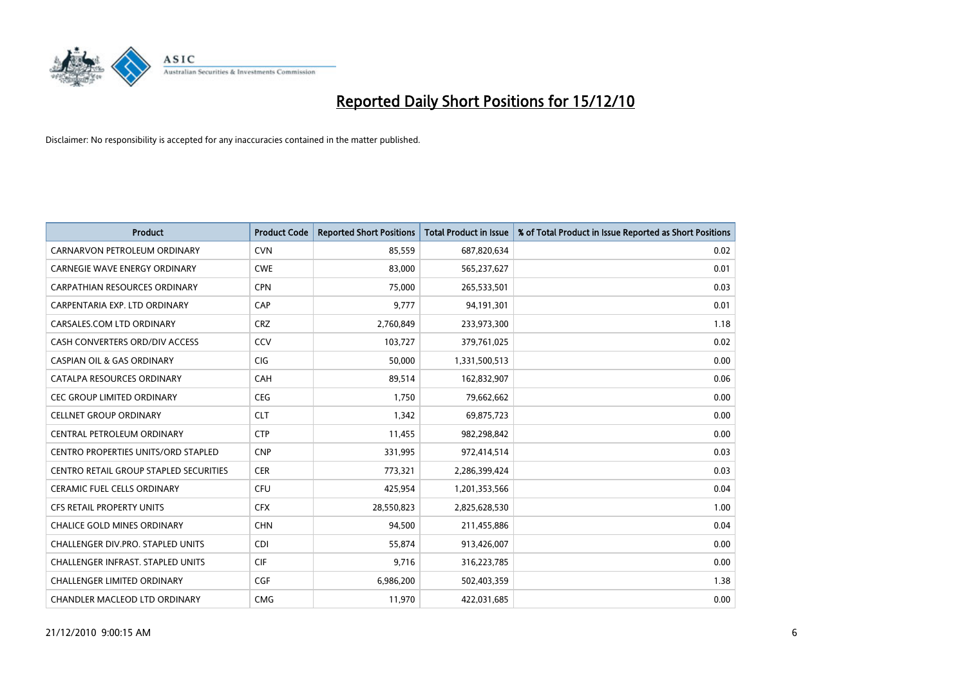

| <b>Product</b>                                | <b>Product Code</b> | <b>Reported Short Positions</b> | Total Product in Issue | % of Total Product in Issue Reported as Short Positions |
|-----------------------------------------------|---------------------|---------------------------------|------------------------|---------------------------------------------------------|
| CARNARVON PETROLEUM ORDINARY                  | <b>CVN</b>          | 85,559                          | 687,820,634            | 0.02                                                    |
| CARNEGIE WAVE ENERGY ORDINARY                 | <b>CWE</b>          | 83,000                          | 565,237,627            | 0.01                                                    |
| <b>CARPATHIAN RESOURCES ORDINARY</b>          | <b>CPN</b>          | 75,000                          | 265,533,501            | 0.03                                                    |
| CARPENTARIA EXP. LTD ORDINARY                 | CAP                 | 9,777                           | 94,191,301             | 0.01                                                    |
| CARSALES.COM LTD ORDINARY                     | <b>CRZ</b>          | 2,760,849                       | 233,973,300            | 1.18                                                    |
| CASH CONVERTERS ORD/DIV ACCESS                | CCV                 | 103,727                         | 379,761,025            | 0.02                                                    |
| <b>CASPIAN OIL &amp; GAS ORDINARY</b>         | <b>CIG</b>          | 50.000                          | 1,331,500,513          | 0.00                                                    |
| CATALPA RESOURCES ORDINARY                    | CAH                 | 89,514                          | 162,832,907            | 0.06                                                    |
| CEC GROUP LIMITED ORDINARY                    | <b>CEG</b>          | 1,750                           | 79,662,662             | 0.00                                                    |
| <b>CELLNET GROUP ORDINARY</b>                 | <b>CLT</b>          | 1,342                           | 69,875,723             | 0.00                                                    |
| CENTRAL PETROLEUM ORDINARY                    | <b>CTP</b>          | 11,455                          | 982,298,842            | 0.00                                                    |
| <b>CENTRO PROPERTIES UNITS/ORD STAPLED</b>    | <b>CNP</b>          | 331,995                         | 972,414,514            | 0.03                                                    |
| <b>CENTRO RETAIL GROUP STAPLED SECURITIES</b> | <b>CER</b>          | 773,321                         | 2,286,399,424          | 0.03                                                    |
| <b>CERAMIC FUEL CELLS ORDINARY</b>            | <b>CFU</b>          | 425,954                         | 1,201,353,566          | 0.04                                                    |
| <b>CFS RETAIL PROPERTY UNITS</b>              | <b>CFX</b>          | 28,550,823                      | 2,825,628,530          | 1.00                                                    |
| CHALICE GOLD MINES ORDINARY                   | <b>CHN</b>          | 94,500                          | 211,455,886            | 0.04                                                    |
| CHALLENGER DIV.PRO. STAPLED UNITS             | <b>CDI</b>          | 55,874                          | 913,426,007            | 0.00                                                    |
| CHALLENGER INFRAST. STAPLED UNITS             | <b>CIF</b>          | 9,716                           | 316,223,785            | 0.00                                                    |
| <b>CHALLENGER LIMITED ORDINARY</b>            | CGF                 | 6,986,200                       | 502,403,359            | 1.38                                                    |
| CHANDLER MACLEOD LTD ORDINARY                 | <b>CMG</b>          | 11,970                          | 422,031,685            | 0.00                                                    |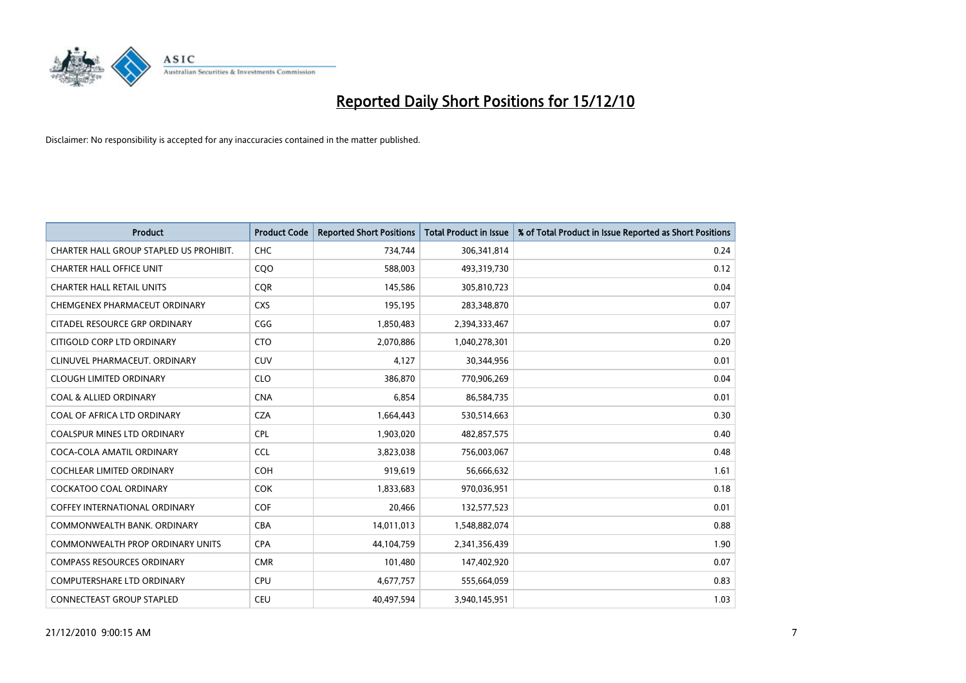

| <b>Product</b>                          | <b>Product Code</b> | <b>Reported Short Positions</b> | <b>Total Product in Issue</b> | % of Total Product in Issue Reported as Short Positions |
|-----------------------------------------|---------------------|---------------------------------|-------------------------------|---------------------------------------------------------|
| CHARTER HALL GROUP STAPLED US PROHIBIT. | CHC                 | 734,744                         | 306,341,814                   | 0.24                                                    |
| <b>CHARTER HALL OFFICE UNIT</b>         | COO                 | 588,003                         | 493,319,730                   | 0.12                                                    |
| <b>CHARTER HALL RETAIL UNITS</b>        | <b>COR</b>          | 145,586                         | 305,810,723                   | 0.04                                                    |
| CHEMGENEX PHARMACEUT ORDINARY           | <b>CXS</b>          | 195,195                         | 283,348,870                   | 0.07                                                    |
| <b>CITADEL RESOURCE GRP ORDINARY</b>    | CGG                 | 1,850,483                       | 2,394,333,467                 | 0.07                                                    |
| CITIGOLD CORP LTD ORDINARY              | <b>CTO</b>          | 2,070,886                       | 1,040,278,301                 | 0.20                                                    |
| CLINUVEL PHARMACEUT. ORDINARY           | <b>CUV</b>          | 4,127                           | 30,344,956                    | 0.01                                                    |
| <b>CLOUGH LIMITED ORDINARY</b>          | <b>CLO</b>          | 386,870                         | 770,906,269                   | 0.04                                                    |
| <b>COAL &amp; ALLIED ORDINARY</b>       | <b>CNA</b>          | 6.854                           | 86,584,735                    | 0.01                                                    |
| COAL OF AFRICA LTD ORDINARY             | <b>CZA</b>          | 1,664,443                       | 530,514,663                   | 0.30                                                    |
| COALSPUR MINES LTD ORDINARY             | <b>CPL</b>          | 1,903,020                       | 482,857,575                   | 0.40                                                    |
| COCA-COLA AMATIL ORDINARY               | <b>CCL</b>          | 3,823,038                       | 756,003,067                   | 0.48                                                    |
| COCHLEAR LIMITED ORDINARY               | <b>COH</b>          | 919,619                         | 56,666,632                    | 1.61                                                    |
| <b>COCKATOO COAL ORDINARY</b>           | <b>COK</b>          | 1,833,683                       | 970,036,951                   | 0.18                                                    |
| <b>COFFEY INTERNATIONAL ORDINARY</b>    | <b>COF</b>          | 20,466                          | 132,577,523                   | 0.01                                                    |
| COMMONWEALTH BANK, ORDINARY             | <b>CBA</b>          | 14,011,013                      | 1,548,882,074                 | 0.88                                                    |
| COMMONWEALTH PROP ORDINARY UNITS        | <b>CPA</b>          | 44,104,759                      | 2,341,356,439                 | 1.90                                                    |
| <b>COMPASS RESOURCES ORDINARY</b>       | <b>CMR</b>          | 101,480                         | 147,402,920                   | 0.07                                                    |
| <b>COMPUTERSHARE LTD ORDINARY</b>       | <b>CPU</b>          | 4,677,757                       | 555,664,059                   | 0.83                                                    |
| CONNECTEAST GROUP STAPLED               | <b>CEU</b>          | 40,497,594                      | 3,940,145,951                 | 1.03                                                    |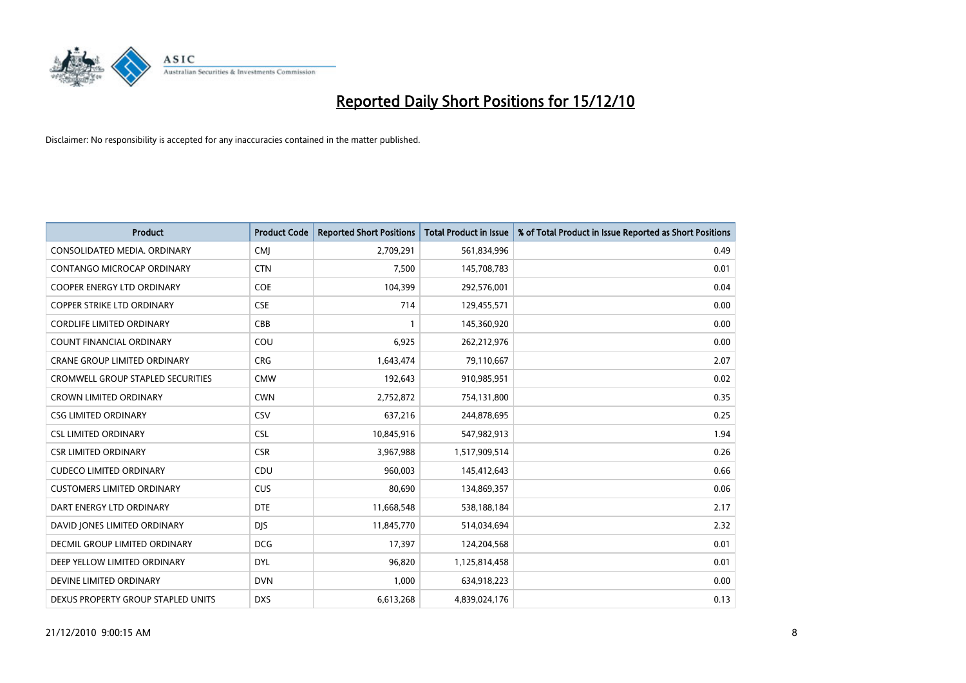

| <b>Product</b>                           | <b>Product Code</b> | <b>Reported Short Positions</b> | Total Product in Issue | % of Total Product in Issue Reported as Short Positions |
|------------------------------------------|---------------------|---------------------------------|------------------------|---------------------------------------------------------|
| CONSOLIDATED MEDIA, ORDINARY             | <b>CMJ</b>          | 2,709,291                       | 561,834,996            | 0.49                                                    |
| CONTANGO MICROCAP ORDINARY               | <b>CTN</b>          | 7,500                           | 145,708,783            | 0.01                                                    |
| COOPER ENERGY LTD ORDINARY               | <b>COE</b>          | 104,399                         | 292,576,001            | 0.04                                                    |
| COPPER STRIKE LTD ORDINARY               | <b>CSE</b>          | 714                             | 129,455,571            | 0.00                                                    |
| <b>CORDLIFE LIMITED ORDINARY</b>         | CBB                 |                                 | 145,360,920            | 0.00                                                    |
| <b>COUNT FINANCIAL ORDINARY</b>          | COU                 | 6,925                           | 262,212,976            | 0.00                                                    |
| <b>CRANE GROUP LIMITED ORDINARY</b>      | <b>CRG</b>          | 1,643,474                       | 79,110,667             | 2.07                                                    |
| <b>CROMWELL GROUP STAPLED SECURITIES</b> | <b>CMW</b>          | 192,643                         | 910,985,951            | 0.02                                                    |
| CROWN LIMITED ORDINARY                   | <b>CWN</b>          | 2,752,872                       | 754,131,800            | 0.35                                                    |
| <b>CSG LIMITED ORDINARY</b>              | CSV                 | 637,216                         | 244,878,695            | 0.25                                                    |
| <b>CSL LIMITED ORDINARY</b>              | <b>CSL</b>          | 10,845,916                      | 547,982,913            | 1.94                                                    |
| <b>CSR LIMITED ORDINARY</b>              | <b>CSR</b>          | 3,967,988                       | 1,517,909,514          | 0.26                                                    |
| <b>CUDECO LIMITED ORDINARY</b>           | CDU                 | 960.003                         | 145,412,643            | 0.66                                                    |
| <b>CUSTOMERS LIMITED ORDINARY</b>        | CUS                 | 80.690                          | 134,869,357            | 0.06                                                    |
| DART ENERGY LTD ORDINARY                 | <b>DTE</b>          | 11,668,548                      | 538,188,184            | 2.17                                                    |
| DAVID JONES LIMITED ORDINARY             | <b>DIS</b>          | 11,845,770                      | 514,034,694            | 2.32                                                    |
| <b>DECMIL GROUP LIMITED ORDINARY</b>     | <b>DCG</b>          | 17,397                          | 124,204,568            | 0.01                                                    |
| DEEP YELLOW LIMITED ORDINARY             | <b>DYL</b>          | 96,820                          | 1,125,814,458          | 0.01                                                    |
| DEVINE LIMITED ORDINARY                  | <b>DVN</b>          | 1,000                           | 634,918,223            | 0.00                                                    |
| DEXUS PROPERTY GROUP STAPLED UNITS       | <b>DXS</b>          | 6,613,268                       | 4,839,024,176          | 0.13                                                    |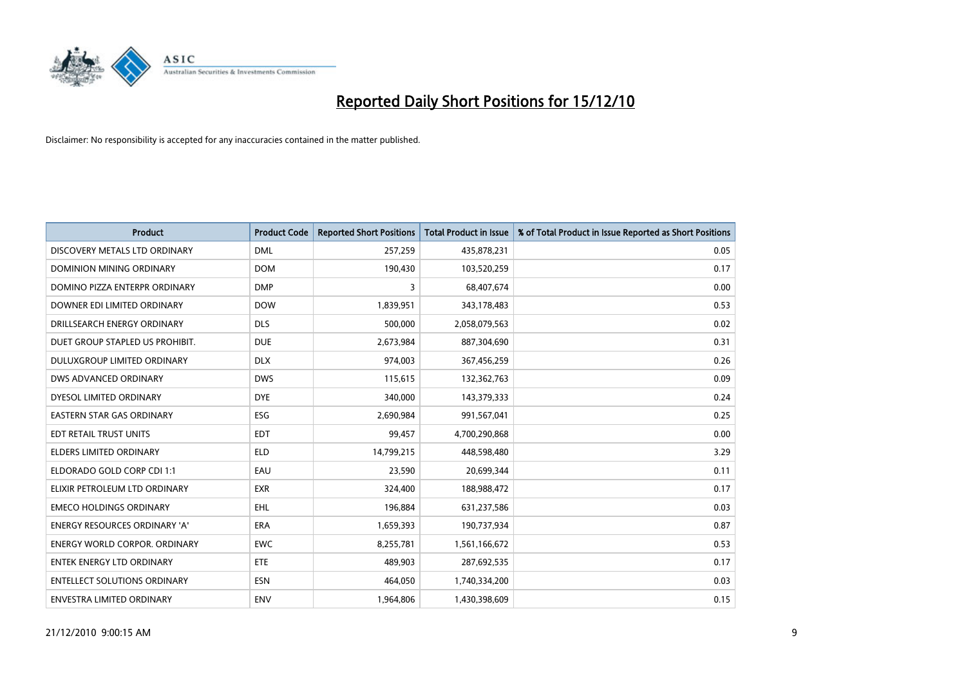

| <b>Product</b>                       | <b>Product Code</b> | <b>Reported Short Positions</b> | Total Product in Issue | % of Total Product in Issue Reported as Short Positions |
|--------------------------------------|---------------------|---------------------------------|------------------------|---------------------------------------------------------|
| DISCOVERY METALS LTD ORDINARY        | <b>DML</b>          | 257,259                         | 435,878,231            | 0.05                                                    |
| DOMINION MINING ORDINARY             | <b>DOM</b>          | 190,430                         | 103,520,259            | 0.17                                                    |
| DOMINO PIZZA ENTERPR ORDINARY        | <b>DMP</b>          | 3                               | 68,407,674             | 0.00                                                    |
| DOWNER EDI LIMITED ORDINARY          | <b>DOW</b>          | 1,839,951                       | 343,178,483            | 0.53                                                    |
| DRILLSEARCH ENERGY ORDINARY          | <b>DLS</b>          | 500,000                         | 2,058,079,563          | 0.02                                                    |
| DUET GROUP STAPLED US PROHIBIT.      | <b>DUE</b>          | 2,673,984                       | 887,304,690            | 0.31                                                    |
| DULUXGROUP LIMITED ORDINARY          | <b>DLX</b>          | 974,003                         | 367,456,259            | 0.26                                                    |
| DWS ADVANCED ORDINARY                | <b>DWS</b>          | 115,615                         | 132,362,763            | 0.09                                                    |
| DYESOL LIMITED ORDINARY              | <b>DYE</b>          | 340,000                         | 143,379,333            | 0.24                                                    |
| <b>EASTERN STAR GAS ORDINARY</b>     | <b>ESG</b>          | 2,690,984                       | 991,567,041            | 0.25                                                    |
| EDT RETAIL TRUST UNITS               | <b>EDT</b>          | 99,457                          | 4,700,290,868          | 0.00                                                    |
| <b>ELDERS LIMITED ORDINARY</b>       | <b>ELD</b>          | 14,799,215                      | 448,598,480            | 3.29                                                    |
| ELDORADO GOLD CORP CDI 1:1           | EAU                 | 23,590                          | 20,699,344             | 0.11                                                    |
| ELIXIR PETROLEUM LTD ORDINARY        | <b>EXR</b>          | 324,400                         | 188,988,472            | 0.17                                                    |
| <b>EMECO HOLDINGS ORDINARY</b>       | <b>EHL</b>          | 196,884                         | 631,237,586            | 0.03                                                    |
| ENERGY RESOURCES ORDINARY 'A'        | <b>ERA</b>          | 1,659,393                       | 190,737,934            | 0.87                                                    |
| <b>ENERGY WORLD CORPOR. ORDINARY</b> | <b>EWC</b>          | 8,255,781                       | 1,561,166,672          | 0.53                                                    |
| ENTEK ENERGY LTD ORDINARY            | <b>ETE</b>          | 489,903                         | 287,692,535            | 0.17                                                    |
| <b>ENTELLECT SOLUTIONS ORDINARY</b>  | <b>ESN</b>          | 464,050                         | 1,740,334,200          | 0.03                                                    |
| ENVESTRA LIMITED ORDINARY            | ENV                 | 1,964,806                       | 1,430,398,609          | 0.15                                                    |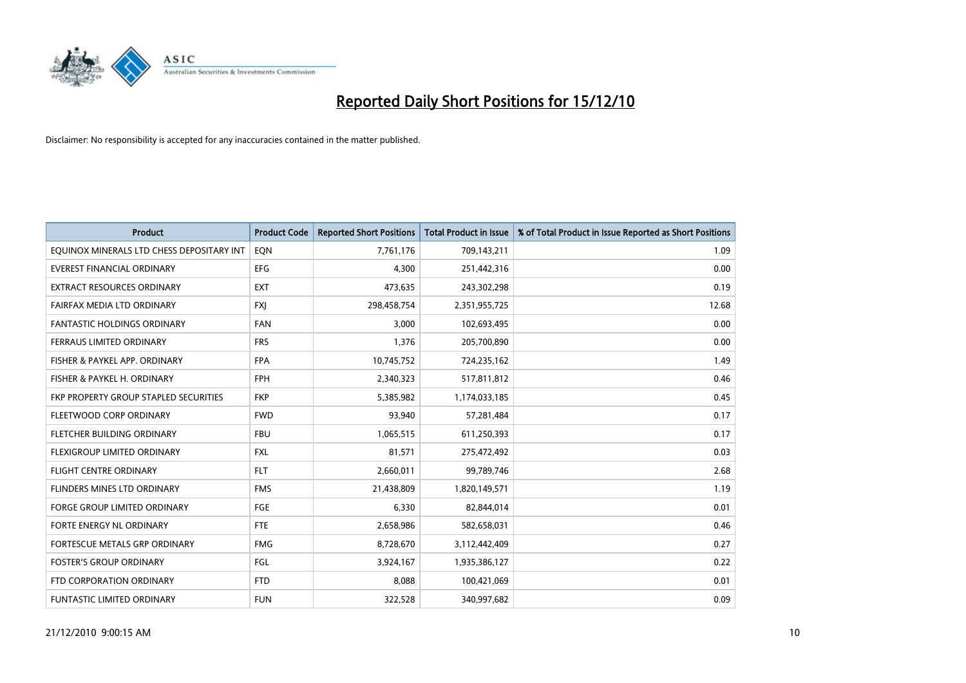

| <b>Product</b>                            | <b>Product Code</b> | <b>Reported Short Positions</b> | <b>Total Product in Issue</b> | % of Total Product in Issue Reported as Short Positions |
|-------------------------------------------|---------------------|---------------------------------|-------------------------------|---------------------------------------------------------|
| EQUINOX MINERALS LTD CHESS DEPOSITARY INT | EON                 | 7,761,176                       | 709,143,211                   | 1.09                                                    |
| EVEREST FINANCIAL ORDINARY                | <b>EFG</b>          | 4,300                           | 251,442,316                   | 0.00                                                    |
| EXTRACT RESOURCES ORDINARY                | <b>EXT</b>          | 473,635                         | 243,302,298                   | 0.19                                                    |
| FAIRFAX MEDIA LTD ORDINARY                | <b>FXI</b>          | 298,458,754                     | 2,351,955,725                 | 12.68                                                   |
| <b>FANTASTIC HOLDINGS ORDINARY</b>        | <b>FAN</b>          | 3,000                           | 102,693,495                   | 0.00                                                    |
| FERRAUS LIMITED ORDINARY                  | <b>FRS</b>          | 1,376                           | 205,700,890                   | 0.00                                                    |
| FISHER & PAYKEL APP. ORDINARY             | <b>FPA</b>          | 10,745,752                      | 724,235,162                   | 1.49                                                    |
| FISHER & PAYKEL H. ORDINARY               | <b>FPH</b>          | 2,340,323                       | 517,811,812                   | 0.46                                                    |
| FKP PROPERTY GROUP STAPLED SECURITIES     | <b>FKP</b>          | 5,385,982                       | 1,174,033,185                 | 0.45                                                    |
| FLEETWOOD CORP ORDINARY                   | <b>FWD</b>          | 93,940                          | 57,281,484                    | 0.17                                                    |
| FLETCHER BUILDING ORDINARY                | <b>FBU</b>          | 1,065,515                       | 611,250,393                   | 0.17                                                    |
| FLEXIGROUP LIMITED ORDINARY               | <b>FXL</b>          | 81,571                          | 275,472,492                   | 0.03                                                    |
| <b>FLIGHT CENTRE ORDINARY</b>             | <b>FLT</b>          | 2,660,011                       | 99,789,746                    | 2.68                                                    |
| FLINDERS MINES LTD ORDINARY               | <b>FMS</b>          | 21,438,809                      | 1,820,149,571                 | 1.19                                                    |
| <b>FORGE GROUP LIMITED ORDINARY</b>       | <b>FGE</b>          | 6,330                           | 82,844,014                    | 0.01                                                    |
| FORTE ENERGY NL ORDINARY                  | <b>FTE</b>          | 2,658,986                       | 582,658,031                   | 0.46                                                    |
| FORTESCUE METALS GRP ORDINARY             | <b>FMG</b>          | 8,728,670                       | 3,112,442,409                 | 0.27                                                    |
| <b>FOSTER'S GROUP ORDINARY</b>            | FGL                 | 3,924,167                       | 1,935,386,127                 | 0.22                                                    |
| FTD CORPORATION ORDINARY                  | <b>FTD</b>          | 8,088                           | 100,421,069                   | 0.01                                                    |
| <b>FUNTASTIC LIMITED ORDINARY</b>         | <b>FUN</b>          | 322,528                         | 340,997,682                   | 0.09                                                    |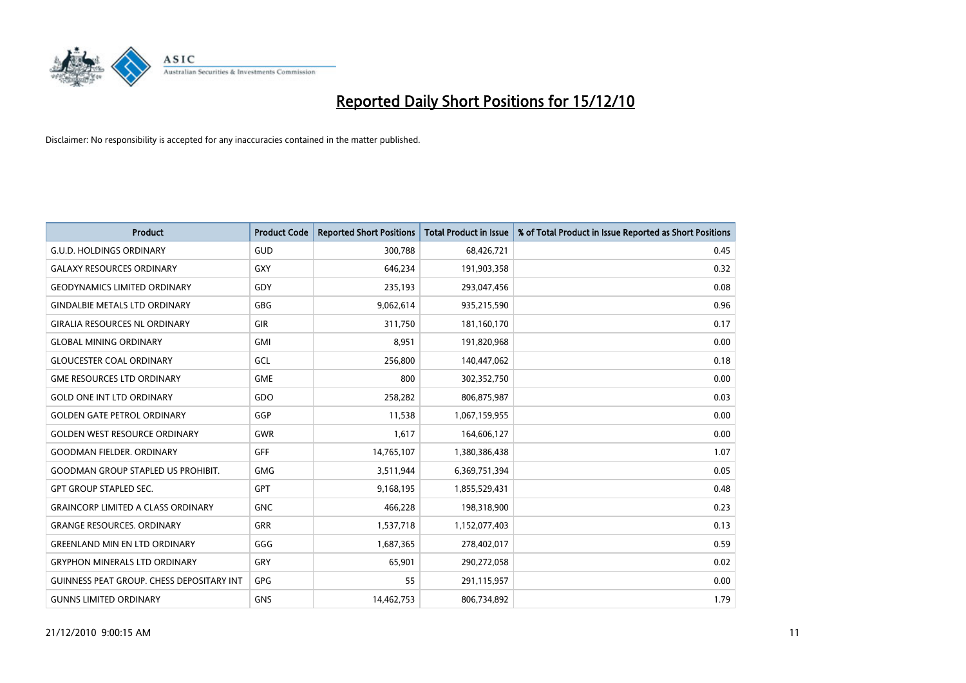

| <b>Product</b>                                   | <b>Product Code</b> | <b>Reported Short Positions</b> | Total Product in Issue | % of Total Product in Issue Reported as Short Positions |
|--------------------------------------------------|---------------------|---------------------------------|------------------------|---------------------------------------------------------|
| <b>G.U.D. HOLDINGS ORDINARY</b>                  | <b>GUD</b>          | 300,788                         | 68,426,721             | 0.45                                                    |
| <b>GALAXY RESOURCES ORDINARY</b>                 | <b>GXY</b>          | 646,234                         | 191,903,358            | 0.32                                                    |
| <b>GEODYNAMICS LIMITED ORDINARY</b>              | GDY                 | 235,193                         | 293,047,456            | 0.08                                                    |
| <b>GINDALBIE METALS LTD ORDINARY</b>             | <b>GBG</b>          | 9,062,614                       | 935,215,590            | 0.96                                                    |
| <b>GIRALIA RESOURCES NL ORDINARY</b>             | GIR                 | 311,750                         | 181,160,170            | 0.17                                                    |
| <b>GLOBAL MINING ORDINARY</b>                    | <b>GMI</b>          | 8,951                           | 191,820,968            | 0.00                                                    |
| <b>GLOUCESTER COAL ORDINARY</b>                  | <b>GCL</b>          | 256,800                         | 140,447,062            | 0.18                                                    |
| <b>GME RESOURCES LTD ORDINARY</b>                | <b>GME</b>          | 800                             | 302,352,750            | 0.00                                                    |
| <b>GOLD ONE INT LTD ORDINARY</b>                 | GDO                 | 258,282                         | 806,875,987            | 0.03                                                    |
| <b>GOLDEN GATE PETROL ORDINARY</b>               | GGP                 | 11,538                          | 1,067,159,955          | 0.00                                                    |
| <b>GOLDEN WEST RESOURCE ORDINARY</b>             | <b>GWR</b>          | 1,617                           | 164,606,127            | 0.00                                                    |
| <b>GOODMAN FIELDER, ORDINARY</b>                 | <b>GFF</b>          | 14,765,107                      | 1,380,386,438          | 1.07                                                    |
| <b>GOODMAN GROUP STAPLED US PROHIBIT.</b>        | <b>GMG</b>          | 3,511,944                       | 6,369,751,394          | 0.05                                                    |
| <b>GPT GROUP STAPLED SEC.</b>                    | <b>GPT</b>          | 9,168,195                       | 1,855,529,431          | 0.48                                                    |
| <b>GRAINCORP LIMITED A CLASS ORDINARY</b>        | <b>GNC</b>          | 466,228                         | 198,318,900            | 0.23                                                    |
| <b>GRANGE RESOURCES. ORDINARY</b>                | <b>GRR</b>          | 1,537,718                       | 1,152,077,403          | 0.13                                                    |
| <b>GREENLAND MIN EN LTD ORDINARY</b>             | GGG                 | 1,687,365                       | 278,402,017            | 0.59                                                    |
| <b>GRYPHON MINERALS LTD ORDINARY</b>             | GRY                 | 65,901                          | 290,272,058            | 0.02                                                    |
| <b>GUINNESS PEAT GROUP. CHESS DEPOSITARY INT</b> | GPG                 | 55                              | 291,115,957            | 0.00                                                    |
| <b>GUNNS LIMITED ORDINARY</b>                    | <b>GNS</b>          | 14,462,753                      | 806,734,892            | 1.79                                                    |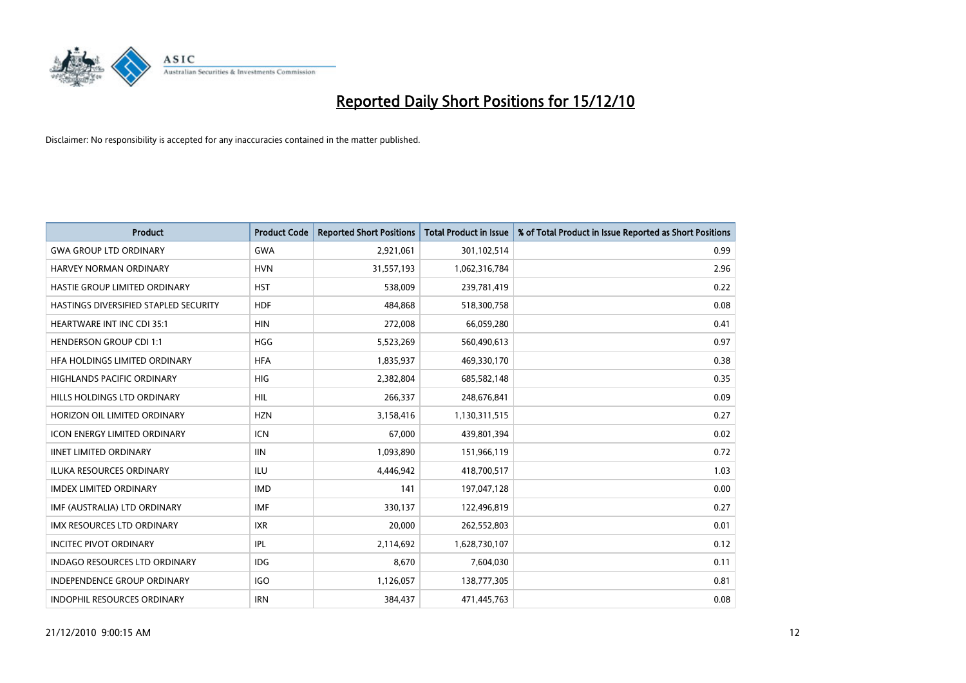

| <b>Product</b>                        | <b>Product Code</b> | <b>Reported Short Positions</b> | <b>Total Product in Issue</b> | % of Total Product in Issue Reported as Short Positions |
|---------------------------------------|---------------------|---------------------------------|-------------------------------|---------------------------------------------------------|
| <b>GWA GROUP LTD ORDINARY</b>         | <b>GWA</b>          | 2,921,061                       | 301,102,514                   | 0.99                                                    |
| HARVEY NORMAN ORDINARY                | <b>HVN</b>          | 31,557,193                      | 1,062,316,784                 | 2.96                                                    |
| HASTIE GROUP LIMITED ORDINARY         | <b>HST</b>          | 538,009                         | 239,781,419                   | 0.22                                                    |
| HASTINGS DIVERSIFIED STAPLED SECURITY | <b>HDF</b>          | 484,868                         | 518,300,758                   | 0.08                                                    |
| <b>HEARTWARE INT INC CDI 35:1</b>     | <b>HIN</b>          | 272,008                         | 66,059,280                    | 0.41                                                    |
| <b>HENDERSON GROUP CDI 1:1</b>        | <b>HGG</b>          | 5,523,269                       | 560,490,613                   | 0.97                                                    |
| HFA HOLDINGS LIMITED ORDINARY         | <b>HFA</b>          | 1,835,937                       | 469,330,170                   | 0.38                                                    |
| HIGHLANDS PACIFIC ORDINARY            | HIG                 | 2,382,804                       | 685,582,148                   | 0.35                                                    |
| HILLS HOLDINGS LTD ORDINARY           | <b>HIL</b>          | 266,337                         | 248,676,841                   | 0.09                                                    |
| HORIZON OIL LIMITED ORDINARY          | <b>HZN</b>          | 3,158,416                       | 1,130,311,515                 | 0.27                                                    |
| <b>ICON ENERGY LIMITED ORDINARY</b>   | <b>ICN</b>          | 67,000                          | 439,801,394                   | 0.02                                                    |
| <b>IINET LIMITED ORDINARY</b>         | <b>IIN</b>          | 1,093,890                       | 151,966,119                   | 0.72                                                    |
| <b>ILUKA RESOURCES ORDINARY</b>       | <b>ILU</b>          | 4,446,942                       | 418,700,517                   | 1.03                                                    |
| <b>IMDEX LIMITED ORDINARY</b>         | <b>IMD</b>          | 141                             | 197,047,128                   | 0.00                                                    |
| IMF (AUSTRALIA) LTD ORDINARY          | <b>IMF</b>          | 330,137                         | 122,496,819                   | 0.27                                                    |
| IMX RESOURCES LTD ORDINARY            | <b>IXR</b>          | 20,000                          | 262,552,803                   | 0.01                                                    |
| <b>INCITEC PIVOT ORDINARY</b>         | <b>IPL</b>          | 2,114,692                       | 1,628,730,107                 | 0.12                                                    |
| INDAGO RESOURCES LTD ORDINARY         | <b>IDG</b>          | 8,670                           | 7,604,030                     | 0.11                                                    |
| <b>INDEPENDENCE GROUP ORDINARY</b>    | <b>IGO</b>          | 1,126,057                       | 138,777,305                   | 0.81                                                    |
| INDOPHIL RESOURCES ORDINARY           | <b>IRN</b>          | 384,437                         | 471,445,763                   | 0.08                                                    |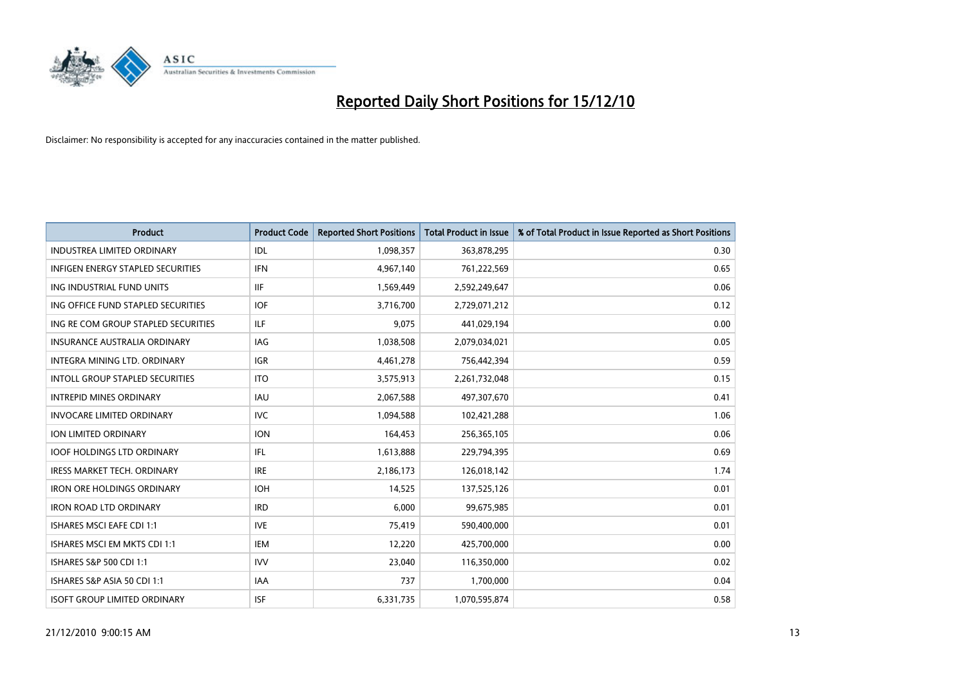

| <b>Product</b>                         | <b>Product Code</b> | <b>Reported Short Positions</b> | <b>Total Product in Issue</b> | % of Total Product in Issue Reported as Short Positions |
|----------------------------------------|---------------------|---------------------------------|-------------------------------|---------------------------------------------------------|
| <b>INDUSTREA LIMITED ORDINARY</b>      | IDL                 | 1,098,357                       | 363,878,295                   | 0.30                                                    |
| INFIGEN ENERGY STAPLED SECURITIES      | <b>IFN</b>          | 4,967,140                       | 761,222,569                   | 0.65                                                    |
| ING INDUSTRIAL FUND UNITS              | <b>IIF</b>          | 1,569,449                       | 2,592,249,647                 | 0.06                                                    |
| ING OFFICE FUND STAPLED SECURITIES     | <b>IOF</b>          | 3,716,700                       | 2,729,071,212                 | 0.12                                                    |
| ING RE COM GROUP STAPLED SECURITIES    | <b>ILF</b>          | 9,075                           | 441,029,194                   | 0.00                                                    |
| <b>INSURANCE AUSTRALIA ORDINARY</b>    | <b>IAG</b>          | 1,038,508                       | 2,079,034,021                 | 0.05                                                    |
| INTEGRA MINING LTD, ORDINARY           | <b>IGR</b>          | 4,461,278                       | 756,442,394                   | 0.59                                                    |
| <b>INTOLL GROUP STAPLED SECURITIES</b> | <b>ITO</b>          | 3,575,913                       | 2,261,732,048                 | 0.15                                                    |
| <b>INTREPID MINES ORDINARY</b>         | <b>IAU</b>          | 2,067,588                       | 497,307,670                   | 0.41                                                    |
| <b>INVOCARE LIMITED ORDINARY</b>       | <b>IVC</b>          | 1,094,588                       | 102,421,288                   | 1.06                                                    |
| ION LIMITED ORDINARY                   | <b>ION</b>          | 164,453                         | 256,365,105                   | 0.06                                                    |
| <b>IOOF HOLDINGS LTD ORDINARY</b>      | IFL.                | 1,613,888                       | 229,794,395                   | 0.69                                                    |
| <b>IRESS MARKET TECH. ORDINARY</b>     | <b>IRE</b>          | 2,186,173                       | 126,018,142                   | 1.74                                                    |
| <b>IRON ORE HOLDINGS ORDINARY</b>      | <b>IOH</b>          | 14,525                          | 137,525,126                   | 0.01                                                    |
| <b>IRON ROAD LTD ORDINARY</b>          | <b>IRD</b>          | 6.000                           | 99,675,985                    | 0.01                                                    |
| <b>ISHARES MSCI EAFE CDI 1:1</b>       | <b>IVE</b>          | 75,419                          | 590,400,000                   | 0.01                                                    |
| ISHARES MSCI EM MKTS CDI 1:1           | <b>IEM</b>          | 12,220                          | 425,700,000                   | 0.00                                                    |
| ISHARES S&P 500 CDI 1:1                | <b>IVV</b>          | 23,040                          | 116,350,000                   | 0.02                                                    |
| ISHARES S&P ASIA 50 CDI 1:1            | <b>IAA</b>          | 737                             | 1,700,000                     | 0.04                                                    |
| <b>ISOFT GROUP LIMITED ORDINARY</b>    | <b>ISF</b>          | 6,331,735                       | 1,070,595,874                 | 0.58                                                    |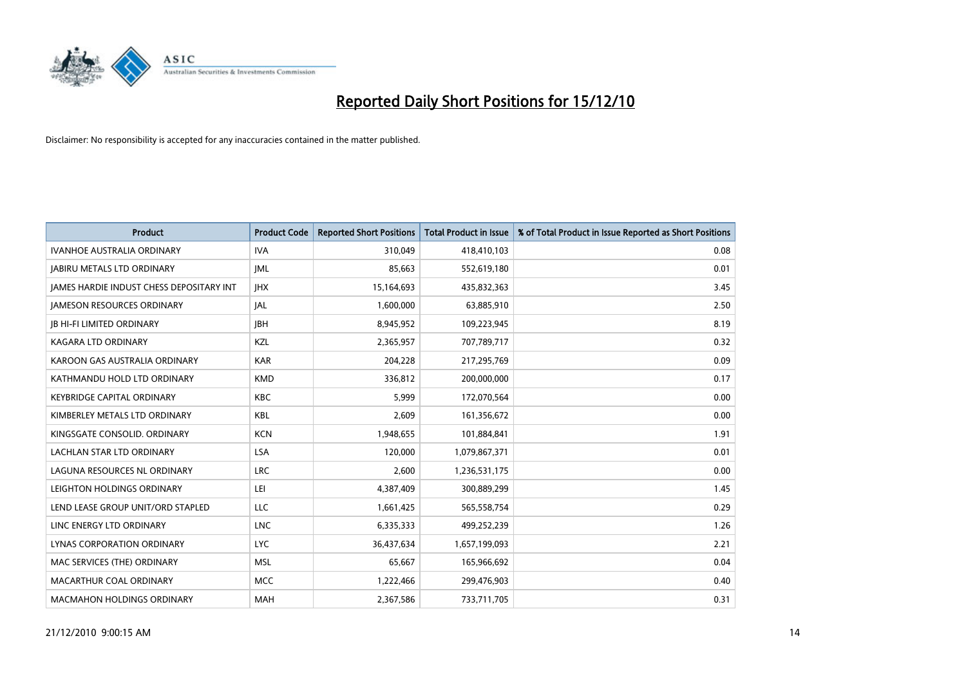

| <b>Product</b>                                  | <b>Product Code</b> | <b>Reported Short Positions</b> | Total Product in Issue | % of Total Product in Issue Reported as Short Positions |
|-------------------------------------------------|---------------------|---------------------------------|------------------------|---------------------------------------------------------|
| <b>IVANHOE AUSTRALIA ORDINARY</b>               | <b>IVA</b>          | 310,049                         | 418,410,103            | 0.08                                                    |
| <b>JABIRU METALS LTD ORDINARY</b>               | <b>JML</b>          | 85,663                          | 552,619,180            | 0.01                                                    |
| <b>IAMES HARDIE INDUST CHESS DEPOSITARY INT</b> | <b>IHX</b>          | 15,164,693                      | 435,832,363            | 3.45                                                    |
| <b>JAMESON RESOURCES ORDINARY</b>               | JAL                 | 1,600,000                       | 63,885,910             | 2.50                                                    |
| <b>JB HI-FI LIMITED ORDINARY</b>                | <b>IBH</b>          | 8,945,952                       | 109,223,945            | 8.19                                                    |
| <b>KAGARA LTD ORDINARY</b>                      | KZL                 | 2,365,957                       | 707,789,717            | 0.32                                                    |
| KAROON GAS AUSTRALIA ORDINARY                   | <b>KAR</b>          | 204,228                         | 217,295,769            | 0.09                                                    |
| KATHMANDU HOLD LTD ORDINARY                     | <b>KMD</b>          | 336,812                         | 200,000,000            | 0.17                                                    |
| <b>KEYBRIDGE CAPITAL ORDINARY</b>               | <b>KBC</b>          | 5,999                           | 172,070,564            | 0.00                                                    |
| KIMBERLEY METALS LTD ORDINARY                   | <b>KBL</b>          | 2,609                           | 161,356,672            | 0.00                                                    |
| KINGSGATE CONSOLID. ORDINARY                    | <b>KCN</b>          | 1,948,655                       | 101,884,841            | 1.91                                                    |
| LACHLAN STAR LTD ORDINARY                       | LSA                 | 120,000                         | 1,079,867,371          | 0.01                                                    |
| LAGUNA RESOURCES NL ORDINARY                    | <b>LRC</b>          | 2,600                           | 1,236,531,175          | 0.00                                                    |
| LEIGHTON HOLDINGS ORDINARY                      | LEI                 | 4,387,409                       | 300,889,299            | 1.45                                                    |
| LEND LEASE GROUP UNIT/ORD STAPLED               | LLC                 | 1,661,425                       | 565,558,754            | 0.29                                                    |
| LINC ENERGY LTD ORDINARY                        | <b>LNC</b>          | 6,335,333                       | 499,252,239            | 1.26                                                    |
| LYNAS CORPORATION ORDINARY                      | <b>LYC</b>          | 36,437,634                      | 1,657,199,093          | 2.21                                                    |
| MAC SERVICES (THE) ORDINARY                     | <b>MSL</b>          | 65,667                          | 165,966,692            | 0.04                                                    |
| MACARTHUR COAL ORDINARY                         | <b>MCC</b>          | 1,222,466                       | 299,476,903            | 0.40                                                    |
| <b>MACMAHON HOLDINGS ORDINARY</b>               | MAH                 | 2,367,586                       | 733,711,705            | 0.31                                                    |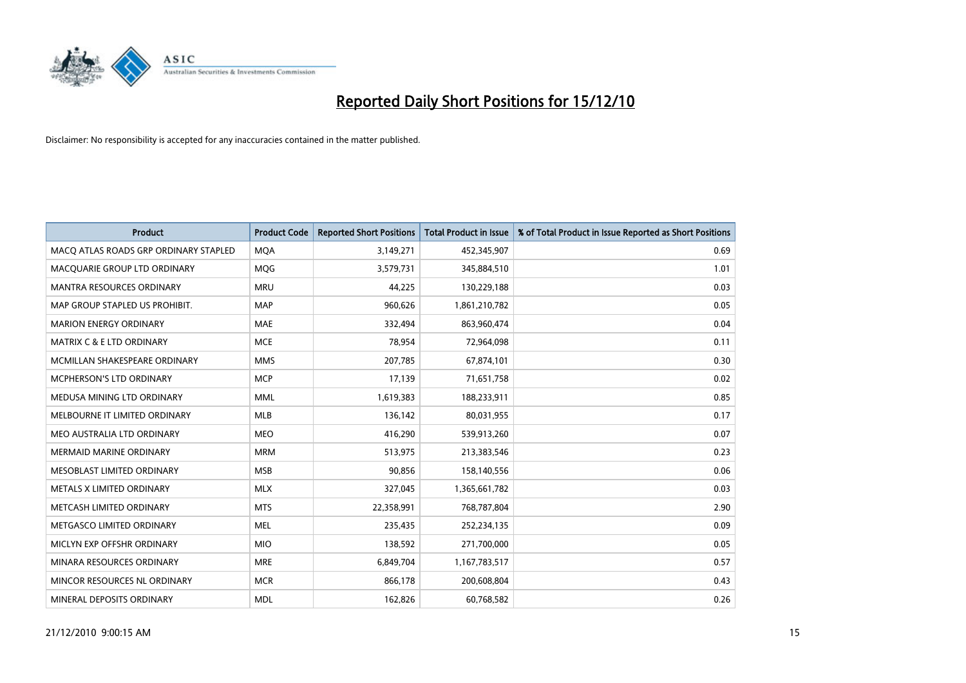

| <b>Product</b>                        | <b>Product Code</b> | <b>Reported Short Positions</b> | <b>Total Product in Issue</b> | % of Total Product in Issue Reported as Short Positions |
|---------------------------------------|---------------------|---------------------------------|-------------------------------|---------------------------------------------------------|
| MACO ATLAS ROADS GRP ORDINARY STAPLED | <b>MOA</b>          | 3,149,271                       | 452,345,907                   | 0.69                                                    |
| MACQUARIE GROUP LTD ORDINARY          | MQG                 | 3,579,731                       | 345,884,510                   | 1.01                                                    |
| <b>MANTRA RESOURCES ORDINARY</b>      | <b>MRU</b>          | 44,225                          | 130,229,188                   | 0.03                                                    |
| MAP GROUP STAPLED US PROHIBIT.        | <b>MAP</b>          | 960,626                         | 1,861,210,782                 | 0.05                                                    |
| <b>MARION ENERGY ORDINARY</b>         | <b>MAE</b>          | 332,494                         | 863,960,474                   | 0.04                                                    |
| <b>MATRIX C &amp; E LTD ORDINARY</b>  | <b>MCE</b>          | 78,954                          | 72,964,098                    | 0.11                                                    |
| MCMILLAN SHAKESPEARE ORDINARY         | <b>MMS</b>          | 207,785                         | 67,874,101                    | 0.30                                                    |
| <b>MCPHERSON'S LTD ORDINARY</b>       | <b>MCP</b>          | 17,139                          | 71,651,758                    | 0.02                                                    |
| MEDUSA MINING LTD ORDINARY            | <b>MML</b>          | 1,619,383                       | 188,233,911                   | 0.85                                                    |
| MELBOURNE IT LIMITED ORDINARY         | MLB                 | 136,142                         | 80,031,955                    | 0.17                                                    |
| MEO AUSTRALIA LTD ORDINARY            | <b>MEO</b>          | 416,290                         | 539,913,260                   | 0.07                                                    |
| <b>MERMAID MARINE ORDINARY</b>        | <b>MRM</b>          | 513,975                         | 213,383,546                   | 0.23                                                    |
| MESOBLAST LIMITED ORDINARY            | <b>MSB</b>          | 90,856                          | 158,140,556                   | 0.06                                                    |
| METALS X LIMITED ORDINARY             | <b>MLX</b>          | 327,045                         | 1,365,661,782                 | 0.03                                                    |
| METCASH LIMITED ORDINARY              | <b>MTS</b>          | 22,358,991                      | 768,787,804                   | 2.90                                                    |
| METGASCO LIMITED ORDINARY             | <b>MEL</b>          | 235,435                         | 252,234,135                   | 0.09                                                    |
| MICLYN EXP OFFSHR ORDINARY            | <b>MIO</b>          | 138,592                         | 271,700,000                   | 0.05                                                    |
| MINARA RESOURCES ORDINARY             | <b>MRE</b>          | 6,849,704                       | 1,167,783,517                 | 0.57                                                    |
| MINCOR RESOURCES NL ORDINARY          | <b>MCR</b>          | 866,178                         | 200,608,804                   | 0.43                                                    |
| MINERAL DEPOSITS ORDINARY             | <b>MDL</b>          | 162,826                         | 60,768,582                    | 0.26                                                    |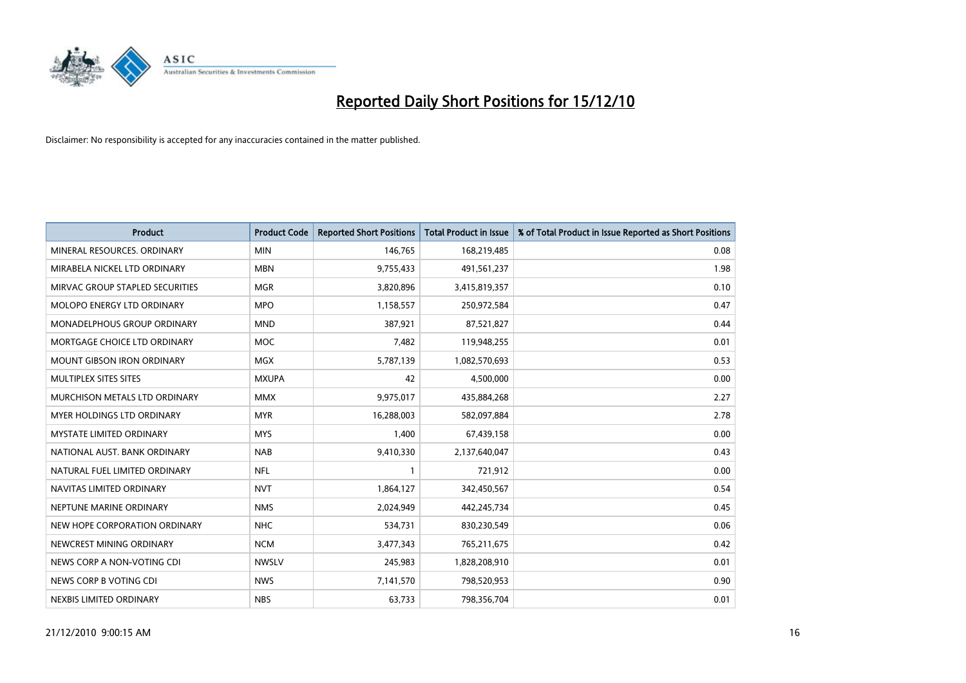

| <b>Product</b>                    | <b>Product Code</b> | <b>Reported Short Positions</b> | <b>Total Product in Issue</b> | % of Total Product in Issue Reported as Short Positions |
|-----------------------------------|---------------------|---------------------------------|-------------------------------|---------------------------------------------------------|
| MINERAL RESOURCES, ORDINARY       | <b>MIN</b>          | 146,765                         | 168,219,485                   | 0.08                                                    |
| MIRABELA NICKEL LTD ORDINARY      | <b>MBN</b>          | 9,755,433                       | 491,561,237                   | 1.98                                                    |
| MIRVAC GROUP STAPLED SECURITIES   | <b>MGR</b>          | 3,820,896                       | 3,415,819,357                 | 0.10                                                    |
| MOLOPO ENERGY LTD ORDINARY        | <b>MPO</b>          | 1,158,557                       | 250,972,584                   | 0.47                                                    |
| MONADELPHOUS GROUP ORDINARY       | <b>MND</b>          | 387,921                         | 87,521,827                    | 0.44                                                    |
| MORTGAGE CHOICE LTD ORDINARY      | <b>MOC</b>          | 7,482                           | 119,948,255                   | 0.01                                                    |
| <b>MOUNT GIBSON IRON ORDINARY</b> | <b>MGX</b>          | 5,787,139                       | 1,082,570,693                 | 0.53                                                    |
| MULTIPLEX SITES SITES             | <b>MXUPA</b>        | 42                              | 4,500,000                     | 0.00                                                    |
| MURCHISON METALS LTD ORDINARY     | <b>MMX</b>          | 9,975,017                       | 435,884,268                   | 2.27                                                    |
| MYER HOLDINGS LTD ORDINARY        | <b>MYR</b>          | 16,288,003                      | 582,097,884                   | 2.78                                                    |
| MYSTATE LIMITED ORDINARY          | <b>MYS</b>          | 1,400                           | 67,439,158                    | 0.00                                                    |
| NATIONAL AUST. BANK ORDINARY      | <b>NAB</b>          | 9,410,330                       | 2,137,640,047                 | 0.43                                                    |
| NATURAL FUEL LIMITED ORDINARY     | <b>NFL</b>          |                                 | 721,912                       | 0.00                                                    |
| NAVITAS LIMITED ORDINARY          | <b>NVT</b>          | 1,864,127                       | 342,450,567                   | 0.54                                                    |
| NEPTUNE MARINE ORDINARY           | <b>NMS</b>          | 2,024,949                       | 442,245,734                   | 0.45                                                    |
| NEW HOPE CORPORATION ORDINARY     | <b>NHC</b>          | 534,731                         | 830,230,549                   | 0.06                                                    |
| NEWCREST MINING ORDINARY          | <b>NCM</b>          | 3,477,343                       | 765,211,675                   | 0.42                                                    |
| NEWS CORP A NON-VOTING CDI        | <b>NWSLV</b>        | 245,983                         | 1,828,208,910                 | 0.01                                                    |
| NEWS CORP B VOTING CDI            | <b>NWS</b>          | 7,141,570                       | 798,520,953                   | 0.90                                                    |
| NEXBIS LIMITED ORDINARY           | <b>NBS</b>          | 63,733                          | 798,356,704                   | 0.01                                                    |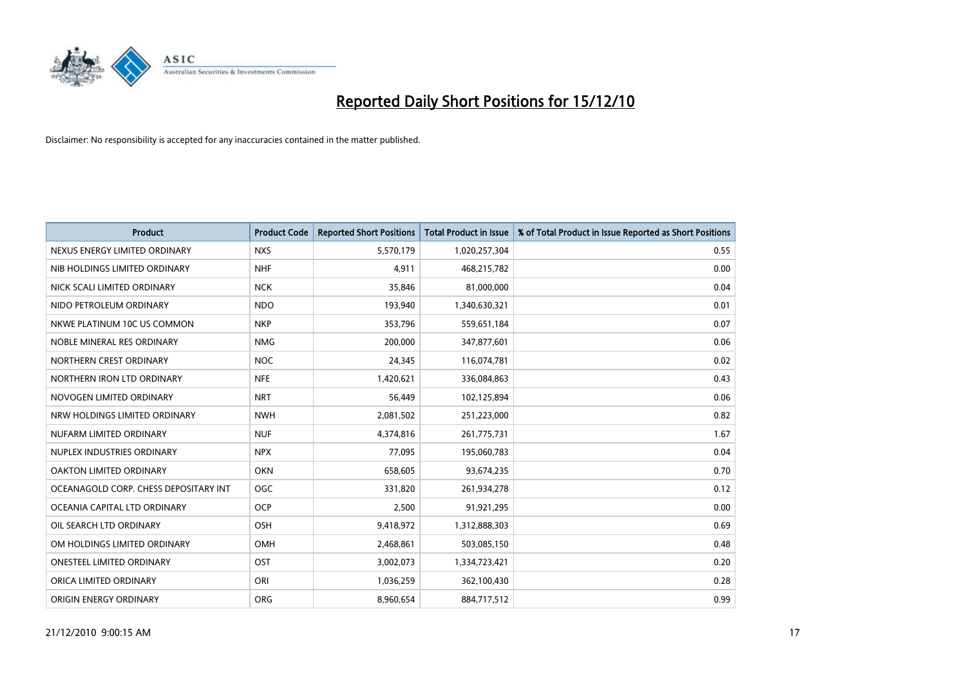

| <b>Product</b>                        | <b>Product Code</b> | <b>Reported Short Positions</b> | <b>Total Product in Issue</b> | % of Total Product in Issue Reported as Short Positions |
|---------------------------------------|---------------------|---------------------------------|-------------------------------|---------------------------------------------------------|
| NEXUS ENERGY LIMITED ORDINARY         | <b>NXS</b>          | 5,570,179                       | 1,020,257,304                 | 0.55                                                    |
| NIB HOLDINGS LIMITED ORDINARY         | <b>NHF</b>          | 4,911                           | 468,215,782                   | 0.00                                                    |
| NICK SCALI LIMITED ORDINARY           | <b>NCK</b>          | 35.846                          | 81,000,000                    | 0.04                                                    |
| NIDO PETROLEUM ORDINARY               | <b>NDO</b>          | 193,940                         | 1,340,630,321                 | 0.01                                                    |
| NKWE PLATINUM 10C US COMMON           | <b>NKP</b>          | 353,796                         | 559,651,184                   | 0.07                                                    |
| NOBLE MINERAL RES ORDINARY            | <b>NMG</b>          | 200,000                         | 347,877,601                   | 0.06                                                    |
| NORTHERN CREST ORDINARY               | <b>NOC</b>          | 24,345                          | 116,074,781                   | 0.02                                                    |
| NORTHERN IRON LTD ORDINARY            | <b>NFE</b>          | 1,420,621                       | 336,084,863                   | 0.43                                                    |
| NOVOGEN LIMITED ORDINARY              | <b>NRT</b>          | 56,449                          | 102,125,894                   | 0.06                                                    |
| NRW HOLDINGS LIMITED ORDINARY         | <b>NWH</b>          | 2,081,502                       | 251,223,000                   | 0.82                                                    |
| NUFARM LIMITED ORDINARY               | <b>NUF</b>          | 4,374,816                       | 261,775,731                   | 1.67                                                    |
| NUPLEX INDUSTRIES ORDINARY            | <b>NPX</b>          | 77,095                          | 195,060,783                   | 0.04                                                    |
| OAKTON LIMITED ORDINARY               | <b>OKN</b>          | 658,605                         | 93,674,235                    | 0.70                                                    |
| OCEANAGOLD CORP. CHESS DEPOSITARY INT | OGC                 | 331,820                         | 261,934,278                   | 0.12                                                    |
| OCEANIA CAPITAL LTD ORDINARY          | <b>OCP</b>          | 2,500                           | 91,921,295                    | 0.00                                                    |
| OIL SEARCH LTD ORDINARY               | <b>OSH</b>          | 9,418,972                       | 1,312,888,303                 | 0.69                                                    |
| OM HOLDINGS LIMITED ORDINARY          | OMH                 | 2,468,861                       | 503,085,150                   | 0.48                                                    |
| ONESTEEL LIMITED ORDINARY             | OST                 | 3,002,073                       | 1,334,723,421                 | 0.20                                                    |
| ORICA LIMITED ORDINARY                | ORI                 | 1,036,259                       | 362,100,430                   | 0.28                                                    |
| ORIGIN ENERGY ORDINARY                | <b>ORG</b>          | 8,960,654                       | 884,717,512                   | 0.99                                                    |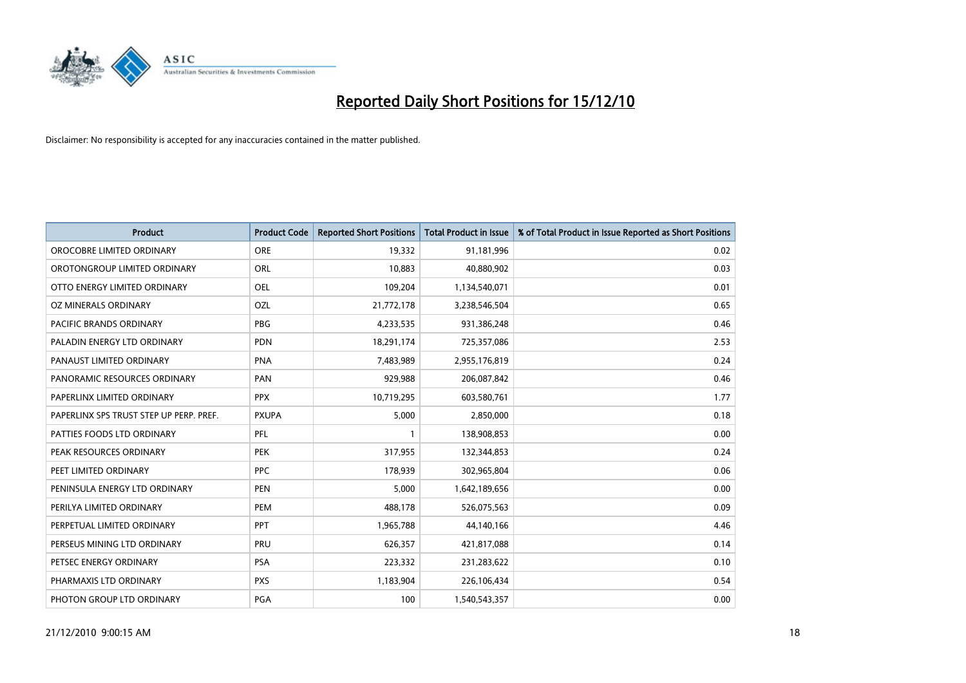

| <b>Product</b>                          | <b>Product Code</b> | <b>Reported Short Positions</b> | <b>Total Product in Issue</b> | % of Total Product in Issue Reported as Short Positions |
|-----------------------------------------|---------------------|---------------------------------|-------------------------------|---------------------------------------------------------|
| OROCOBRE LIMITED ORDINARY               | <b>ORE</b>          | 19,332                          | 91,181,996                    | 0.02                                                    |
| OROTONGROUP LIMITED ORDINARY            | ORL                 | 10.883                          | 40,880,902                    | 0.03                                                    |
| OTTO ENERGY LIMITED ORDINARY            | <b>OEL</b>          | 109,204                         | 1,134,540,071                 | 0.01                                                    |
| OZ MINERALS ORDINARY                    | OZL                 | 21,772,178                      | 3,238,546,504                 | 0.65                                                    |
| <b>PACIFIC BRANDS ORDINARY</b>          | PBG                 | 4,233,535                       | 931,386,248                   | 0.46                                                    |
| PALADIN ENERGY LTD ORDINARY             | <b>PDN</b>          | 18,291,174                      | 725,357,086                   | 2.53                                                    |
| PANAUST LIMITED ORDINARY                | <b>PNA</b>          | 7,483,989                       | 2,955,176,819                 | 0.24                                                    |
| PANORAMIC RESOURCES ORDINARY            | PAN                 | 929,988                         | 206,087,842                   | 0.46                                                    |
| PAPERLINX LIMITED ORDINARY              | <b>PPX</b>          | 10,719,295                      | 603,580,761                   | 1.77                                                    |
| PAPERLINX SPS TRUST STEP UP PERP. PREF. | <b>PXUPA</b>        | 5,000                           | 2,850,000                     | 0.18                                                    |
| PATTIES FOODS LTD ORDINARY              | PFL                 |                                 | 138,908,853                   | 0.00                                                    |
| PEAK RESOURCES ORDINARY                 | <b>PEK</b>          | 317,955                         | 132,344,853                   | 0.24                                                    |
| PEET LIMITED ORDINARY                   | <b>PPC</b>          | 178,939                         | 302,965,804                   | 0.06                                                    |
| PENINSULA ENERGY LTD ORDINARY           | <b>PEN</b>          | 5,000                           | 1,642,189,656                 | 0.00                                                    |
| PERILYA LIMITED ORDINARY                | PEM                 | 488,178                         | 526,075,563                   | 0.09                                                    |
| PERPETUAL LIMITED ORDINARY              | PPT                 | 1,965,788                       | 44,140,166                    | 4.46                                                    |
| PERSEUS MINING LTD ORDINARY             | PRU                 | 626,357                         | 421,817,088                   | 0.14                                                    |
| PETSEC ENERGY ORDINARY                  | <b>PSA</b>          | 223,332                         | 231,283,622                   | 0.10                                                    |
| PHARMAXIS LTD ORDINARY                  | <b>PXS</b>          | 1,183,904                       | 226,106,434                   | 0.54                                                    |
| PHOTON GROUP LTD ORDINARY               | <b>PGA</b>          | 100                             | 1,540,543,357                 | 0.00                                                    |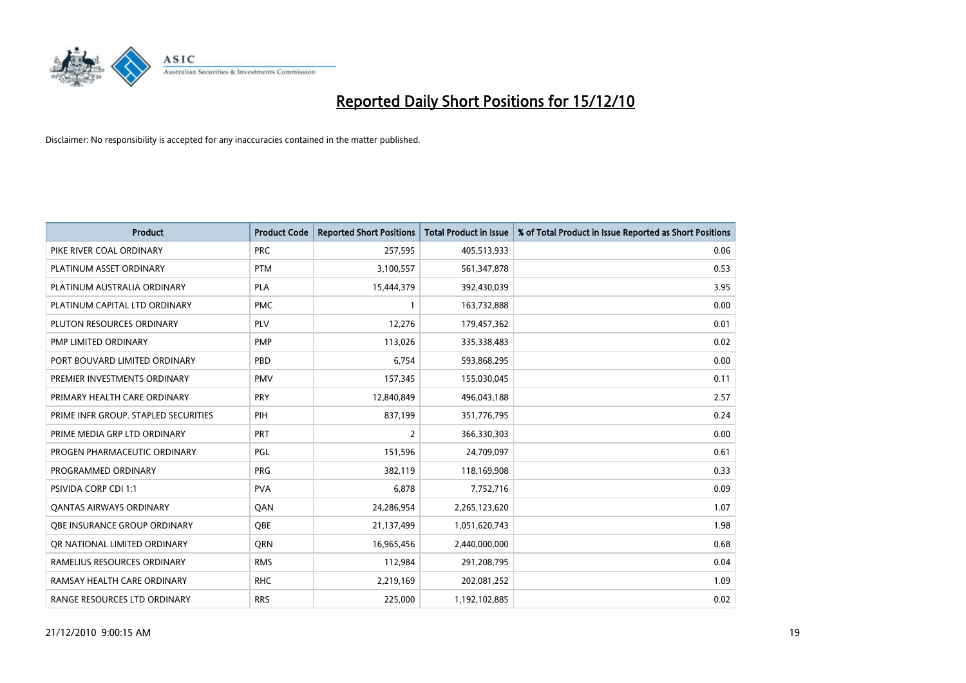

| <b>Product</b>                       | <b>Product Code</b> | <b>Reported Short Positions</b> | <b>Total Product in Issue</b> | % of Total Product in Issue Reported as Short Positions |
|--------------------------------------|---------------------|---------------------------------|-------------------------------|---------------------------------------------------------|
| PIKE RIVER COAL ORDINARY             | <b>PRC</b>          | 257,595                         | 405,513,933                   | 0.06                                                    |
| PLATINUM ASSET ORDINARY              | <b>PTM</b>          | 3,100,557                       | 561,347,878                   | 0.53                                                    |
| PLATINUM AUSTRALIA ORDINARY          | <b>PLA</b>          | 15,444,379                      | 392,430,039                   | 3.95                                                    |
| PLATINUM CAPITAL LTD ORDINARY        | <b>PMC</b>          | $\mathbf{1}$                    | 163,732,888                   | 0.00                                                    |
| PLUTON RESOURCES ORDINARY            | <b>PLV</b>          | 12,276                          | 179,457,362                   | 0.01                                                    |
| PMP LIMITED ORDINARY                 | <b>PMP</b>          | 113,026                         | 335,338,483                   | 0.02                                                    |
| PORT BOUVARD LIMITED ORDINARY        | PBD                 | 6,754                           | 593,868,295                   | 0.00                                                    |
| PREMIER INVESTMENTS ORDINARY         | <b>PMV</b>          | 157,345                         | 155,030,045                   | 0.11                                                    |
| PRIMARY HEALTH CARE ORDINARY         | <b>PRY</b>          | 12,840,849                      | 496,043,188                   | 2.57                                                    |
| PRIME INFR GROUP. STAPLED SECURITIES | PIH                 | 837,199                         | 351,776,795                   | 0.24                                                    |
| PRIME MEDIA GRP LTD ORDINARY         | <b>PRT</b>          | 2                               | 366,330,303                   | 0.00                                                    |
| PROGEN PHARMACEUTIC ORDINARY         | <b>PGL</b>          | 151,596                         | 24,709,097                    | 0.61                                                    |
| PROGRAMMED ORDINARY                  | <b>PRG</b>          | 382,119                         | 118,169,908                   | 0.33                                                    |
| <b>PSIVIDA CORP CDI 1:1</b>          | <b>PVA</b>          | 6,878                           | 7,752,716                     | 0.09                                                    |
| <b>QANTAS AIRWAYS ORDINARY</b>       | QAN                 | 24,286,954                      | 2,265,123,620                 | 1.07                                                    |
| OBE INSURANCE GROUP ORDINARY         | OBE                 | 21,137,499                      | 1,051,620,743                 | 1.98                                                    |
| OR NATIONAL LIMITED ORDINARY         | <b>ORN</b>          | 16,965,456                      | 2,440,000,000                 | 0.68                                                    |
| RAMELIUS RESOURCES ORDINARY          | <b>RMS</b>          | 112,984                         | 291,208,795                   | 0.04                                                    |
| RAMSAY HEALTH CARE ORDINARY          | <b>RHC</b>          | 2,219,169                       | 202,081,252                   | 1.09                                                    |
| RANGE RESOURCES LTD ORDINARY         | <b>RRS</b>          | 225,000                         | 1,192,102,885                 | 0.02                                                    |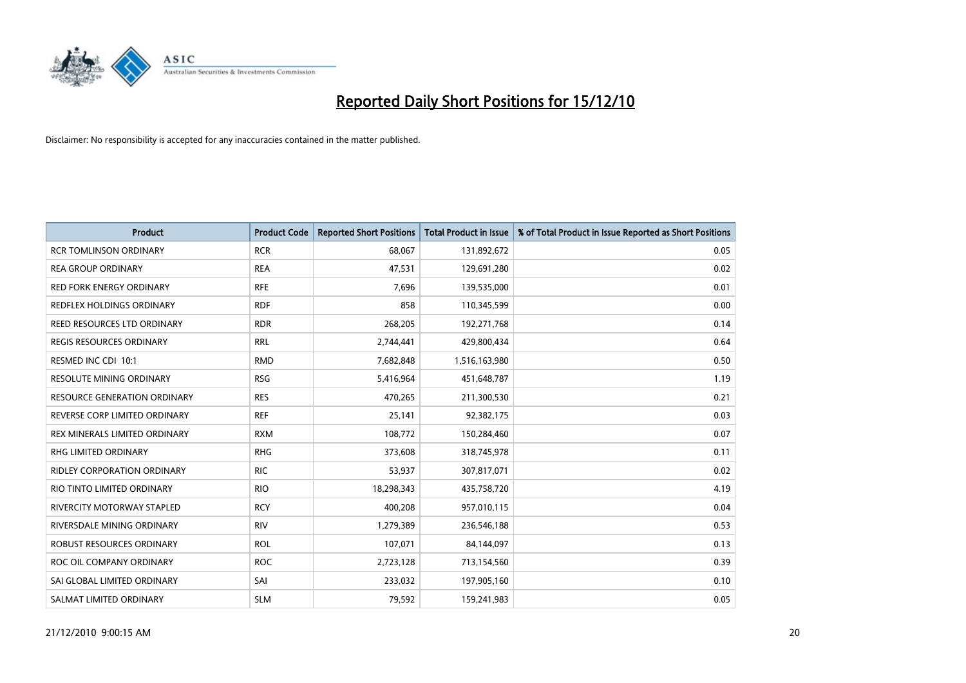

| <b>Product</b>                      | <b>Product Code</b> | <b>Reported Short Positions</b> | <b>Total Product in Issue</b> | % of Total Product in Issue Reported as Short Positions |
|-------------------------------------|---------------------|---------------------------------|-------------------------------|---------------------------------------------------------|
| <b>RCR TOMLINSON ORDINARY</b>       | <b>RCR</b>          | 68,067                          | 131,892,672                   | 0.05                                                    |
| <b>REA GROUP ORDINARY</b>           | <b>REA</b>          | 47,531                          | 129,691,280                   | 0.02                                                    |
| RED FORK ENERGY ORDINARY            | <b>RFE</b>          | 7,696                           | 139,535,000                   | 0.01                                                    |
| REDFLEX HOLDINGS ORDINARY           | <b>RDF</b>          | 858                             | 110,345,599                   | 0.00                                                    |
| REED RESOURCES LTD ORDINARY         | <b>RDR</b>          | 268,205                         | 192,271,768                   | 0.14                                                    |
| <b>REGIS RESOURCES ORDINARY</b>     | <b>RRL</b>          | 2,744,441                       | 429,800,434                   | 0.64                                                    |
| RESMED INC CDI 10:1                 | <b>RMD</b>          | 7,682,848                       | 1,516,163,980                 | 0.50                                                    |
| RESOLUTE MINING ORDINARY            | <b>RSG</b>          | 5,416,964                       | 451,648,787                   | 1.19                                                    |
| <b>RESOURCE GENERATION ORDINARY</b> | <b>RES</b>          | 470,265                         | 211,300,530                   | 0.21                                                    |
| REVERSE CORP LIMITED ORDINARY       | <b>REF</b>          | 25,141                          | 92,382,175                    | 0.03                                                    |
| REX MINERALS LIMITED ORDINARY       | <b>RXM</b>          | 108,772                         | 150,284,460                   | 0.07                                                    |
| RHG LIMITED ORDINARY                | <b>RHG</b>          | 373,608                         | 318,745,978                   | 0.11                                                    |
| <b>RIDLEY CORPORATION ORDINARY</b>  | <b>RIC</b>          | 53,937                          | 307,817,071                   | 0.02                                                    |
| RIO TINTO LIMITED ORDINARY          | <b>RIO</b>          | 18,298,343                      | 435,758,720                   | 4.19                                                    |
| RIVERCITY MOTORWAY STAPLED          | <b>RCY</b>          | 400,208                         | 957,010,115                   | 0.04                                                    |
| RIVERSDALE MINING ORDINARY          | <b>RIV</b>          | 1,279,389                       | 236,546,188                   | 0.53                                                    |
| ROBUST RESOURCES ORDINARY           | <b>ROL</b>          | 107,071                         | 84,144,097                    | 0.13                                                    |
| ROC OIL COMPANY ORDINARY            | <b>ROC</b>          | 2,723,128                       | 713,154,560                   | 0.39                                                    |
| SAI GLOBAL LIMITED ORDINARY         | SAI                 | 233,032                         | 197,905,160                   | 0.10                                                    |
| SALMAT LIMITED ORDINARY             | <b>SLM</b>          | 79,592                          | 159,241,983                   | 0.05                                                    |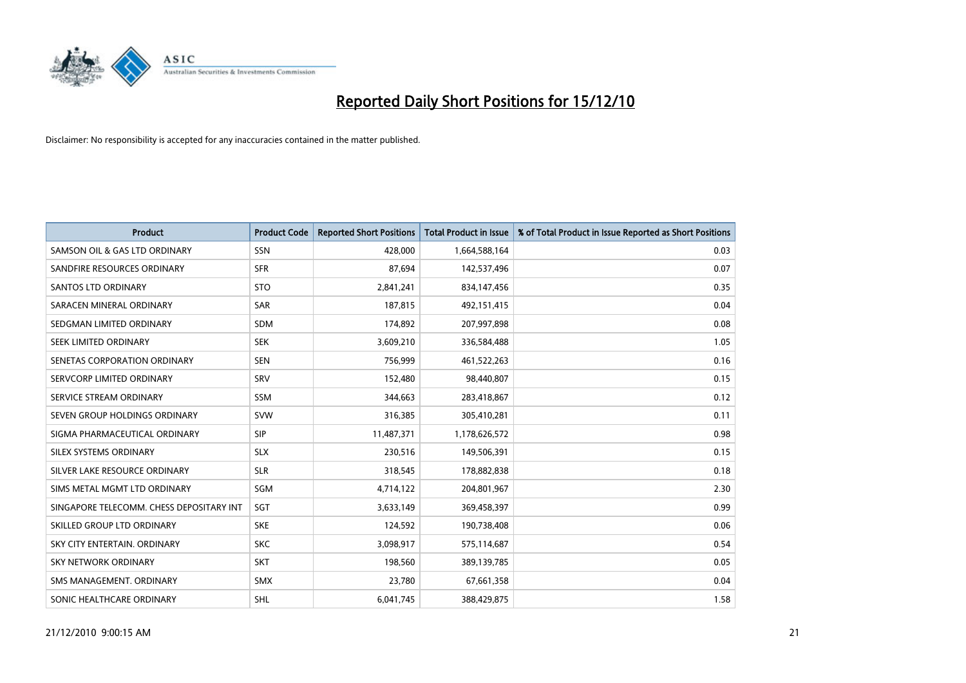

| <b>Product</b>                           | <b>Product Code</b> | <b>Reported Short Positions</b> | <b>Total Product in Issue</b> | % of Total Product in Issue Reported as Short Positions |
|------------------------------------------|---------------------|---------------------------------|-------------------------------|---------------------------------------------------------|
| SAMSON OIL & GAS LTD ORDINARY            | SSN                 | 428.000                         | 1,664,588,164                 | 0.03                                                    |
| SANDFIRE RESOURCES ORDINARY              | <b>SFR</b>          | 87,694                          | 142,537,496                   | 0.07                                                    |
| <b>SANTOS LTD ORDINARY</b>               | <b>STO</b>          | 2,841,241                       | 834,147,456                   | 0.35                                                    |
| SARACEN MINERAL ORDINARY                 | <b>SAR</b>          | 187,815                         | 492,151,415                   | 0.04                                                    |
| SEDGMAN LIMITED ORDINARY                 | <b>SDM</b>          | 174,892                         | 207,997,898                   | 0.08                                                    |
| SEEK LIMITED ORDINARY                    | <b>SEK</b>          | 3,609,210                       | 336,584,488                   | 1.05                                                    |
| SENETAS CORPORATION ORDINARY             | <b>SEN</b>          | 756,999                         | 461,522,263                   | 0.16                                                    |
| SERVCORP LIMITED ORDINARY                | SRV                 | 152,480                         | 98,440,807                    | 0.15                                                    |
| SERVICE STREAM ORDINARY                  | <b>SSM</b>          | 344,663                         | 283,418,867                   | 0.12                                                    |
| SEVEN GROUP HOLDINGS ORDINARY            | SVW                 | 316,385                         | 305,410,281                   | 0.11                                                    |
| SIGMA PHARMACEUTICAL ORDINARY            | <b>SIP</b>          | 11,487,371                      | 1,178,626,572                 | 0.98                                                    |
| SILEX SYSTEMS ORDINARY                   | <b>SLX</b>          | 230,516                         | 149,506,391                   | 0.15                                                    |
| SILVER LAKE RESOURCE ORDINARY            | <b>SLR</b>          | 318,545                         | 178,882,838                   | 0.18                                                    |
| SIMS METAL MGMT LTD ORDINARY             | SGM                 | 4,714,122                       | 204,801,967                   | 2.30                                                    |
| SINGAPORE TELECOMM. CHESS DEPOSITARY INT | SGT                 | 3,633,149                       | 369,458,397                   | 0.99                                                    |
| SKILLED GROUP LTD ORDINARY               | <b>SKE</b>          | 124,592                         | 190,738,408                   | 0.06                                                    |
| SKY CITY ENTERTAIN. ORDINARY             | <b>SKC</b>          | 3,098,917                       | 575,114,687                   | 0.54                                                    |
| SKY NETWORK ORDINARY                     | <b>SKT</b>          | 198,560                         | 389,139,785                   | 0.05                                                    |
| SMS MANAGEMENT, ORDINARY                 | <b>SMX</b>          | 23,780                          | 67,661,358                    | 0.04                                                    |
| SONIC HEALTHCARE ORDINARY                | <b>SHL</b>          | 6,041,745                       | 388,429,875                   | 1.58                                                    |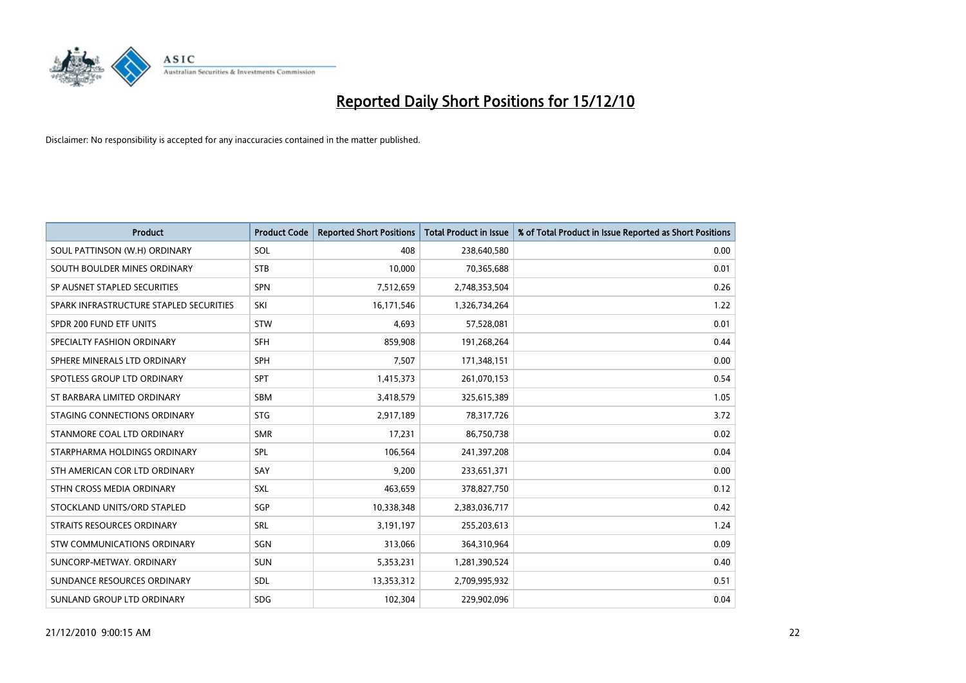

| <b>Product</b>                          | <b>Product Code</b> | <b>Reported Short Positions</b> | <b>Total Product in Issue</b> | % of Total Product in Issue Reported as Short Positions |
|-----------------------------------------|---------------------|---------------------------------|-------------------------------|---------------------------------------------------------|
| SOUL PATTINSON (W.H) ORDINARY           | SOL                 | 408                             | 238,640,580                   | 0.00                                                    |
| SOUTH BOULDER MINES ORDINARY            | <b>STB</b>          | 10,000                          | 70,365,688                    | 0.01                                                    |
| SP AUSNET STAPLED SECURITIES            | SPN                 | 7,512,659                       | 2,748,353,504                 | 0.26                                                    |
| SPARK INFRASTRUCTURE STAPLED SECURITIES | SKI                 | 16,171,546                      | 1,326,734,264                 | 1.22                                                    |
| SPDR 200 FUND ETF UNITS                 | <b>STW</b>          | 4,693                           | 57,528,081                    | 0.01                                                    |
| SPECIALTY FASHION ORDINARY              | <b>SFH</b>          | 859,908                         | 191,268,264                   | 0.44                                                    |
| SPHERE MINERALS LTD ORDINARY            | <b>SPH</b>          | 7,507                           | 171,348,151                   | 0.00                                                    |
| SPOTLESS GROUP LTD ORDINARY             | SPT                 | 1,415,373                       | 261,070,153                   | 0.54                                                    |
| ST BARBARA LIMITED ORDINARY             | SBM                 | 3,418,579                       | 325,615,389                   | 1.05                                                    |
| STAGING CONNECTIONS ORDINARY            | <b>STG</b>          | 2,917,189                       | 78,317,726                    | 3.72                                                    |
| STANMORE COAL LTD ORDINARY              | <b>SMR</b>          | 17,231                          | 86,750,738                    | 0.02                                                    |
| STARPHARMA HOLDINGS ORDINARY            | SPL                 | 106,564                         | 241,397,208                   | 0.04                                                    |
| STH AMERICAN COR LTD ORDINARY           | SAY                 | 9,200                           | 233,651,371                   | 0.00                                                    |
| STHN CROSS MEDIA ORDINARY               | SXL                 | 463,659                         | 378,827,750                   | 0.12                                                    |
| STOCKLAND UNITS/ORD STAPLED             | SGP                 | 10,338,348                      | 2,383,036,717                 | 0.42                                                    |
| STRAITS RESOURCES ORDINARY              | SRL                 | 3,191,197                       | 255,203,613                   | 1.24                                                    |
| STW COMMUNICATIONS ORDINARY             | SGN                 | 313,066                         | 364,310,964                   | 0.09                                                    |
| SUNCORP-METWAY, ORDINARY                | <b>SUN</b>          | 5,353,231                       | 1,281,390,524                 | 0.40                                                    |
| SUNDANCE RESOURCES ORDINARY             | <b>SDL</b>          | 13,353,312                      | 2,709,995,932                 | 0.51                                                    |
| SUNLAND GROUP LTD ORDINARY              | <b>SDG</b>          | 102,304                         | 229,902,096                   | 0.04                                                    |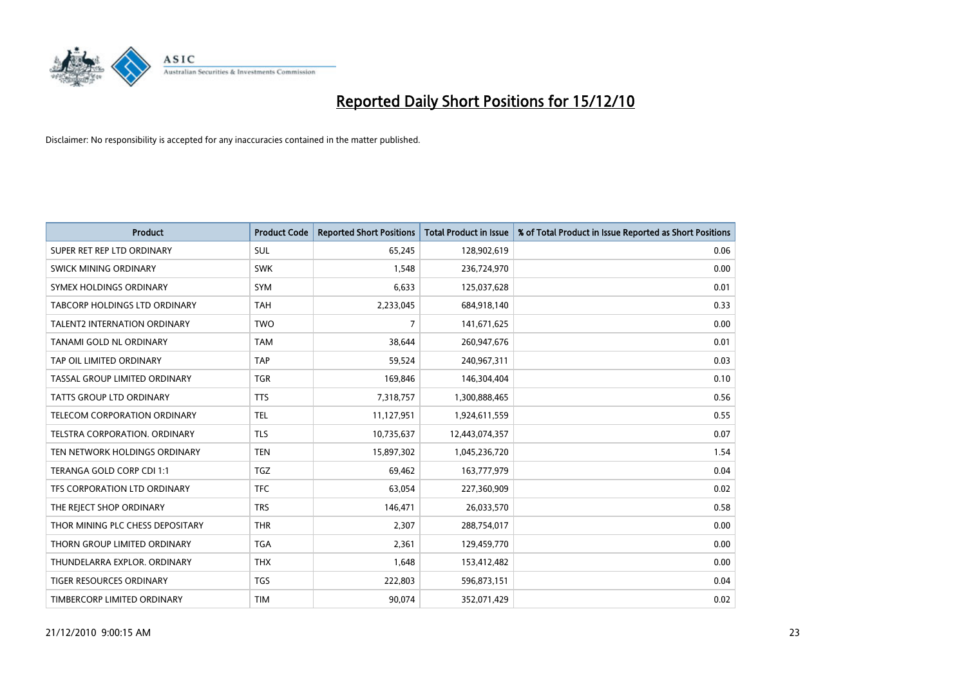

| <b>Product</b>                      | <b>Product Code</b> | <b>Reported Short Positions</b> | <b>Total Product in Issue</b> | % of Total Product in Issue Reported as Short Positions |
|-------------------------------------|---------------------|---------------------------------|-------------------------------|---------------------------------------------------------|
| SUPER RET REP LTD ORDINARY          | <b>SUL</b>          | 65,245                          | 128,902,619                   | 0.06                                                    |
| SWICK MINING ORDINARY               | <b>SWK</b>          | 1,548                           | 236,724,970                   | 0.00                                                    |
| SYMEX HOLDINGS ORDINARY             | SYM                 | 6,633                           | 125,037,628                   | 0.01                                                    |
| TABCORP HOLDINGS LTD ORDINARY       | <b>TAH</b>          | 2,233,045                       | 684,918,140                   | 0.33                                                    |
| <b>TALENT2 INTERNATION ORDINARY</b> | <b>TWO</b>          | $\overline{7}$                  | 141,671,625                   | 0.00                                                    |
| TANAMI GOLD NL ORDINARY             | <b>TAM</b>          | 38.644                          | 260,947,676                   | 0.01                                                    |
| TAP OIL LIMITED ORDINARY            | <b>TAP</b>          | 59,524                          | 240,967,311                   | 0.03                                                    |
| TASSAL GROUP LIMITED ORDINARY       | <b>TGR</b>          | 169,846                         | 146,304,404                   | 0.10                                                    |
| <b>TATTS GROUP LTD ORDINARY</b>     | <b>TTS</b>          | 7,318,757                       | 1,300,888,465                 | 0.56                                                    |
| TELECOM CORPORATION ORDINARY        | <b>TEL</b>          | 11,127,951                      | 1,924,611,559                 | 0.55                                                    |
| TELSTRA CORPORATION. ORDINARY       | <b>TLS</b>          | 10,735,637                      | 12,443,074,357                | 0.07                                                    |
| TEN NETWORK HOLDINGS ORDINARY       | <b>TEN</b>          | 15,897,302                      | 1,045,236,720                 | 1.54                                                    |
| TERANGA GOLD CORP CDI 1:1           | <b>TGZ</b>          | 69,462                          | 163,777,979                   | 0.04                                                    |
| TFS CORPORATION LTD ORDINARY        | <b>TFC</b>          | 63,054                          | 227,360,909                   | 0.02                                                    |
| THE REJECT SHOP ORDINARY            | <b>TRS</b>          | 146,471                         | 26,033,570                    | 0.58                                                    |
| THOR MINING PLC CHESS DEPOSITARY    | <b>THR</b>          | 2,307                           | 288,754,017                   | 0.00                                                    |
| THORN GROUP LIMITED ORDINARY        | <b>TGA</b>          | 2,361                           | 129,459,770                   | 0.00                                                    |
| THUNDELARRA EXPLOR. ORDINARY        | <b>THX</b>          | 1,648                           | 153,412,482                   | 0.00                                                    |
| TIGER RESOURCES ORDINARY            | <b>TGS</b>          | 222,803                         | 596,873,151                   | 0.04                                                    |
| TIMBERCORP LIMITED ORDINARY         | <b>TIM</b>          | 90,074                          | 352,071,429                   | 0.02                                                    |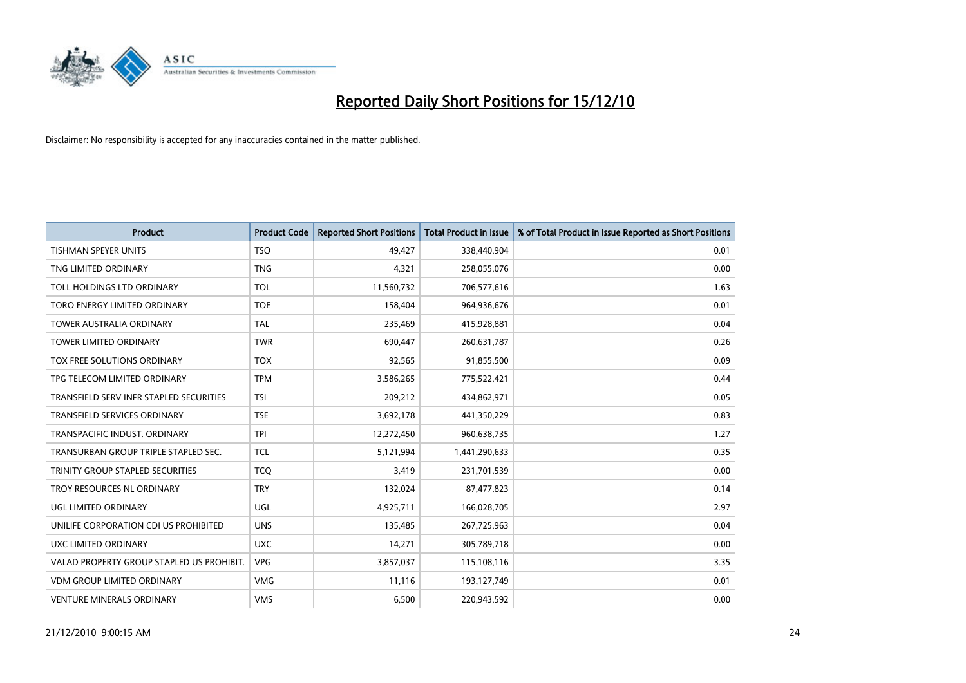

| <b>Product</b>                            | <b>Product Code</b> | <b>Reported Short Positions</b> | Total Product in Issue | % of Total Product in Issue Reported as Short Positions |
|-------------------------------------------|---------------------|---------------------------------|------------------------|---------------------------------------------------------|
| <b>TISHMAN SPEYER UNITS</b>               | <b>TSO</b>          | 49,427                          | 338,440,904            | 0.01                                                    |
| TNG LIMITED ORDINARY                      | <b>TNG</b>          | 4,321                           | 258,055,076            | 0.00                                                    |
| TOLL HOLDINGS LTD ORDINARY                | <b>TOL</b>          | 11,560,732                      | 706,577,616            | 1.63                                                    |
| TORO ENERGY LIMITED ORDINARY              | <b>TOE</b>          | 158,404                         | 964,936,676            | 0.01                                                    |
| <b>TOWER AUSTRALIA ORDINARY</b>           | <b>TAL</b>          | 235,469                         | 415,928,881            | 0.04                                                    |
| <b>TOWER LIMITED ORDINARY</b>             | <b>TWR</b>          | 690,447                         | 260,631,787            | 0.26                                                    |
| TOX FREE SOLUTIONS ORDINARY               | <b>TOX</b>          | 92,565                          | 91,855,500             | 0.09                                                    |
| TPG TELECOM LIMITED ORDINARY              | <b>TPM</b>          | 3,586,265                       | 775,522,421            | 0.44                                                    |
| TRANSFIELD SERV INFR STAPLED SECURITIES   | <b>TSI</b>          | 209,212                         | 434,862,971            | 0.05                                                    |
| <b>TRANSFIELD SERVICES ORDINARY</b>       | <b>TSE</b>          | 3,692,178                       | 441,350,229            | 0.83                                                    |
| TRANSPACIFIC INDUST. ORDINARY             | <b>TPI</b>          | 12,272,450                      | 960,638,735            | 1.27                                                    |
| TRANSURBAN GROUP TRIPLE STAPLED SEC.      | <b>TCL</b>          | 5,121,994                       | 1,441,290,633          | 0.35                                                    |
| TRINITY GROUP STAPLED SECURITIES          | <b>TCQ</b>          | 3,419                           | 231,701,539            | 0.00                                                    |
| TROY RESOURCES NL ORDINARY                | <b>TRY</b>          | 132,024                         | 87,477,823             | 0.14                                                    |
| <b>UGL LIMITED ORDINARY</b>               | UGL                 | 4,925,711                       | 166,028,705            | 2.97                                                    |
| UNILIFE CORPORATION CDI US PROHIBITED     | <b>UNS</b>          | 135,485                         | 267,725,963            | 0.04                                                    |
| UXC LIMITED ORDINARY                      | <b>UXC</b>          | 14,271                          | 305,789,718            | 0.00                                                    |
| VALAD PROPERTY GROUP STAPLED US PROHIBIT. | <b>VPG</b>          | 3,857,037                       | 115,108,116            | 3.35                                                    |
| <b>VDM GROUP LIMITED ORDINARY</b>         | <b>VMG</b>          | 11,116                          | 193,127,749            | 0.01                                                    |
| <b>VENTURE MINERALS ORDINARY</b>          | <b>VMS</b>          | 6,500                           | 220,943,592            | 0.00                                                    |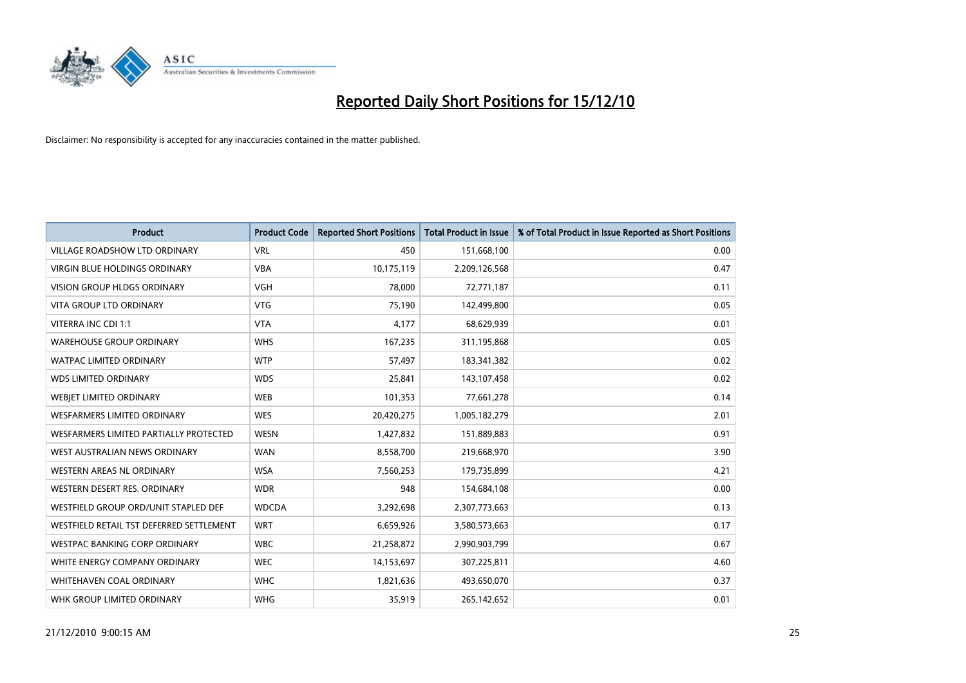

| <b>Product</b>                           | <b>Product Code</b> | <b>Reported Short Positions</b> | <b>Total Product in Issue</b> | % of Total Product in Issue Reported as Short Positions |
|------------------------------------------|---------------------|---------------------------------|-------------------------------|---------------------------------------------------------|
| <b>VILLAGE ROADSHOW LTD ORDINARY</b>     | <b>VRL</b>          | 450                             | 151,668,100                   | 0.00                                                    |
| VIRGIN BLUE HOLDINGS ORDINARY            | <b>VBA</b>          | 10,175,119                      | 2,209,126,568                 | 0.47                                                    |
| VISION GROUP HLDGS ORDINARY              | <b>VGH</b>          | 78,000                          | 72,771,187                    | 0.11                                                    |
| <b>VITA GROUP LTD ORDINARY</b>           | <b>VTG</b>          | 75,190                          | 142,499,800                   | 0.05                                                    |
| VITERRA INC CDI 1:1                      | <b>VTA</b>          | 4,177                           | 68,629,939                    | 0.01                                                    |
| <b>WAREHOUSE GROUP ORDINARY</b>          | <b>WHS</b>          | 167,235                         | 311,195,868                   | 0.05                                                    |
| <b>WATPAC LIMITED ORDINARY</b>           | <b>WTP</b>          | 57,497                          | 183,341,382                   | 0.02                                                    |
| <b>WDS LIMITED ORDINARY</b>              | <b>WDS</b>          | 25,841                          | 143,107,458                   | 0.02                                                    |
| <b>WEBJET LIMITED ORDINARY</b>           | <b>WEB</b>          | 101,353                         | 77,661,278                    | 0.14                                                    |
| WESFARMERS LIMITED ORDINARY              | <b>WES</b>          | 20,420,275                      | 1,005,182,279                 | 2.01                                                    |
| WESFARMERS LIMITED PARTIALLY PROTECTED   | <b>WESN</b>         | 1,427,832                       | 151,889,883                   | 0.91                                                    |
| WEST AUSTRALIAN NEWS ORDINARY            | <b>WAN</b>          | 8,558,700                       | 219,668,970                   | 3.90                                                    |
| <b>WESTERN AREAS NL ORDINARY</b>         | <b>WSA</b>          | 7,560,253                       | 179,735,899                   | 4.21                                                    |
| WESTERN DESERT RES. ORDINARY             | <b>WDR</b>          | 948                             | 154,684,108                   | 0.00                                                    |
| WESTFIELD GROUP ORD/UNIT STAPLED DEF     | <b>WDCDA</b>        | 3,292,698                       | 2,307,773,663                 | 0.13                                                    |
| WESTFIELD RETAIL TST DEFERRED SETTLEMENT | <b>WRT</b>          | 6,659,926                       | 3,580,573,663                 | 0.17                                                    |
| WESTPAC BANKING CORP ORDINARY            | <b>WBC</b>          | 21,258,872                      | 2,990,903,799                 | 0.67                                                    |
| WHITE ENERGY COMPANY ORDINARY            | <b>WEC</b>          | 14,153,697                      | 307,225,811                   | 4.60                                                    |
| WHITEHAVEN COAL ORDINARY                 | <b>WHC</b>          | 1,821,636                       | 493,650,070                   | 0.37                                                    |
| WHK GROUP LIMITED ORDINARY               | <b>WHG</b>          | 35,919                          | 265,142,652                   | 0.01                                                    |